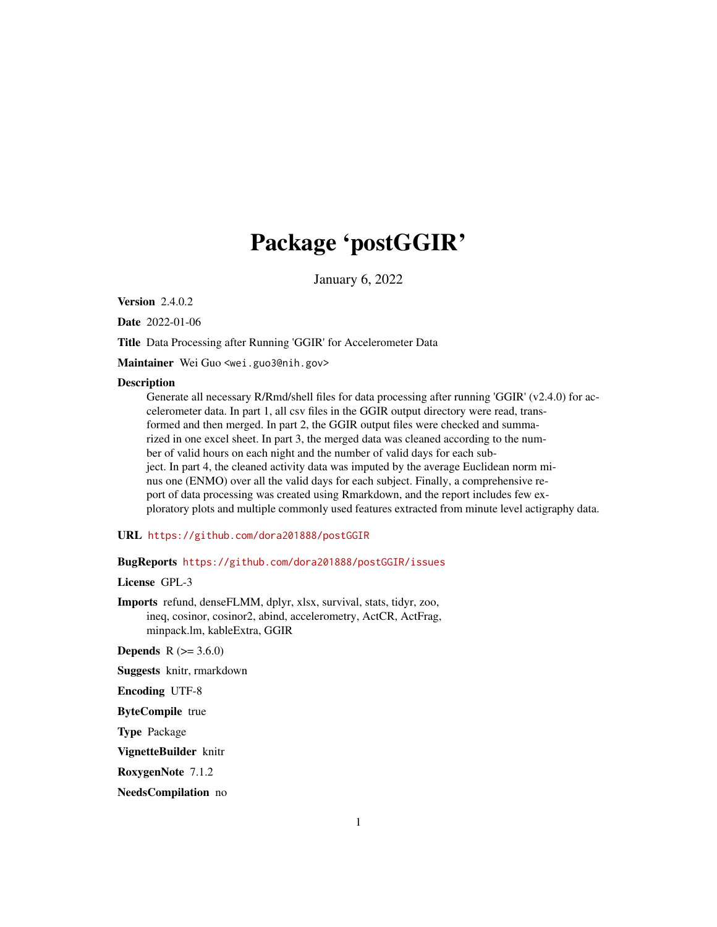# Package 'postGGIR'

January 6, 2022

**Version 2.4.0.2** 

Date 2022-01-06

Title Data Processing after Running 'GGIR' for Accelerometer Data

Maintainer Wei Guo <wei.guo3@nih.gov>

#### Description

Generate all necessary R/Rmd/shell files for data processing after running 'GGIR' (v2.4.0) for accelerometer data. In part 1, all csv files in the GGIR output directory were read, transformed and then merged. In part 2, the GGIR output files were checked and summarized in one excel sheet. In part 3, the merged data was cleaned according to the number of valid hours on each night and the number of valid days for each subject. In part 4, the cleaned activity data was imputed by the average Euclidean norm minus one (ENMO) over all the valid days for each subject. Finally, a comprehensive report of data processing was created using Rmarkdown, and the report includes few exploratory plots and multiple commonly used features extracted from minute level actigraphy data.

#### URL <https://github.com/dora201888/postGGIR>

#### BugReports <https://github.com/dora201888/postGGIR/issues>

License GPL-3

Imports refund, denseFLMM, dplyr, xlsx, survival, stats, tidyr, zoo, ineq, cosinor, cosinor2, abind, accelerometry, ActCR, ActFrag, minpack.lm, kableExtra, GGIR

**Depends** R  $(>= 3.6.0)$ 

Suggests knitr, rmarkdown

Encoding UTF-8

ByteCompile true

Type Package

VignetteBuilder knitr

RoxygenNote 7.1.2

NeedsCompilation no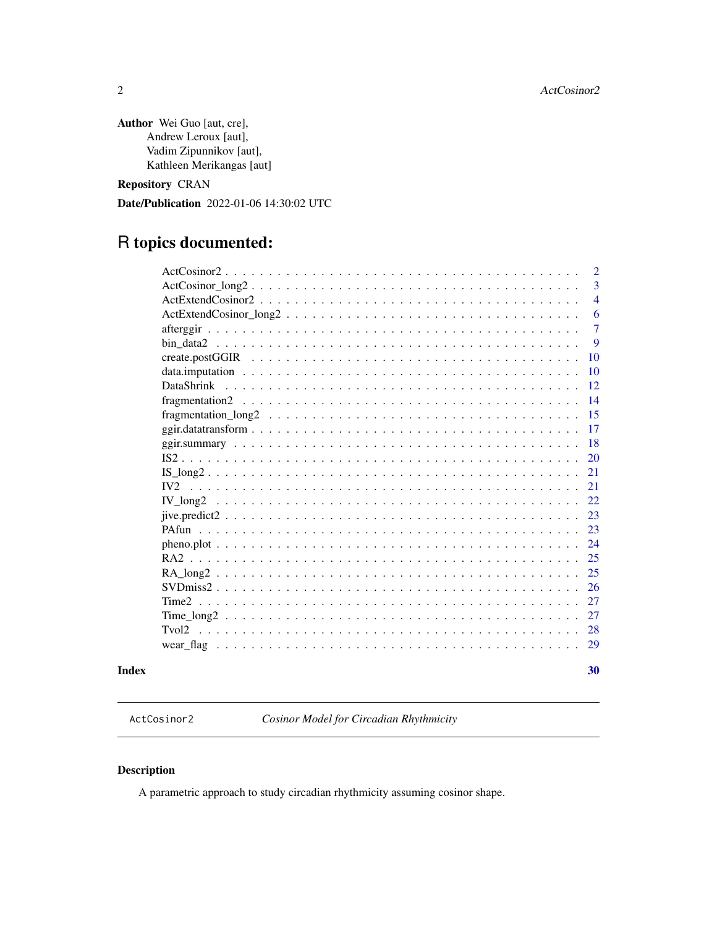<span id="page-1-0"></span>Author Wei Guo [aut, cre], Andrew Leroux [aut], Vadim Zipunnikov [aut], Kathleen Merikangas [aut]

Repository CRAN

Date/Publication 2022-01-06 14:30:02 UTC

## R topics documented:

| Index |                                                                                                                           | 30             |
|-------|---------------------------------------------------------------------------------------------------------------------------|----------------|
|       |                                                                                                                           | 29             |
|       | Tvol <sub>2</sub>                                                                                                         | 28             |
|       |                                                                                                                           | 27             |
|       | Time <sub>2</sub>                                                                                                         | 27             |
|       |                                                                                                                           | <b>26</b>      |
|       |                                                                                                                           | 25             |
|       |                                                                                                                           | 25             |
|       |                                                                                                                           | 24             |
|       |                                                                                                                           | 23             |
|       | $jive.predict2$                                                                                                           | 23             |
|       |                                                                                                                           | 22             |
|       |                                                                                                                           | 21             |
|       | $IS\_long2$                                                                                                               | 21             |
|       |                                                                                                                           | <b>20</b>      |
|       |                                                                                                                           | 18             |
|       |                                                                                                                           | 17             |
|       |                                                                                                                           | 15             |
|       |                                                                                                                           | 14             |
|       | <b>DataShrink</b>                                                                                                         | 12             |
|       |                                                                                                                           | 10             |
|       |                                                                                                                           | <b>10</b>      |
|       |                                                                                                                           | 9              |
|       |                                                                                                                           | $\overline{7}$ |
|       | $ActExtendCosinor long2 \dots \dots \dots \dots \dots \dots \dots \dots \dots \dots \dots \dots \dots \dots \dots$        | 6              |
|       | $ActExtendCosinor2 \dots \dots \dots \dots \dots \dots \dots \dots \dots \dots \dots \dots \dots \dots \dots \dots \dots$ | $\overline{4}$ |
|       |                                                                                                                           | 3              |
|       |                                                                                                                           | $\overline{2}$ |

ActCosinor2 *Cosinor Model for Circadian Rhythmicity*

#### Description

A parametric approach to study circadian rhythmicity assuming cosinor shape.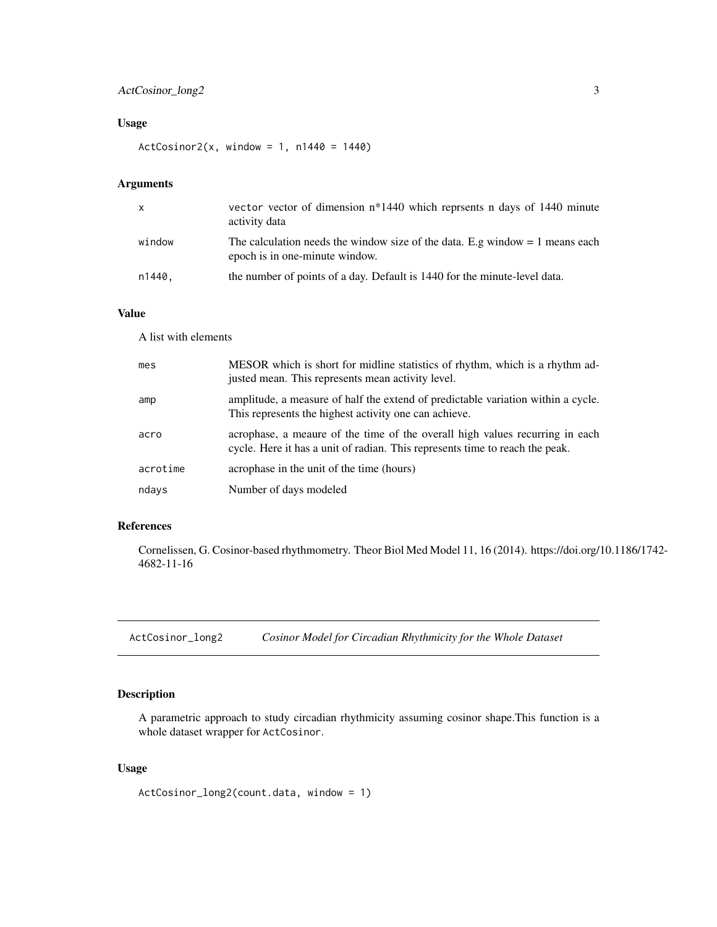#### <span id="page-2-0"></span>ActCosinor\_long2 3

#### Usage

 $ActCosinor2(x, window = 1, n1440 = 1440)$ 

#### Arguments

| X      | vector vector of dimension n*1440 which represents n days of 1440 minute<br>activity data                        |
|--------|------------------------------------------------------------------------------------------------------------------|
| window | The calculation needs the window size of the data. E.g window $= 1$ means each<br>epoch is in one-minute window. |
| n1440, | the number of points of a day. Default is 1440 for the minute-level data.                                        |

#### Value

A list with elements

| mes      | MESOR which is short for midline statistics of rhythm, which is a rhythm ad-<br>justed mean. This represents mean activity level.                            |
|----------|--------------------------------------------------------------------------------------------------------------------------------------------------------------|
| amp      | amplitude, a measure of half the extend of predictable variation within a cycle.<br>This represents the highest activity one can achieve.                    |
| acro     | acrophase, a meaure of the time of the overall high values recurring in each<br>cycle. Here it has a unit of radian. This represents time to reach the peak. |
| acrotime | acrophase in the unit of the time (hours)                                                                                                                    |
| ndays    | Number of days modeled                                                                                                                                       |

#### References

Cornelissen, G. Cosinor-based rhythmometry. Theor Biol Med Model 11, 16 (2014). https://doi.org/10.1186/1742- 4682-11-16

ActCosinor\_long2 *Cosinor Model for Circadian Rhythmicity for the Whole Dataset*

#### Description

A parametric approach to study circadian rhythmicity assuming cosinor shape.This function is a whole dataset wrapper for ActCosinor.

#### Usage

ActCosinor\_long2(count.data, window = 1)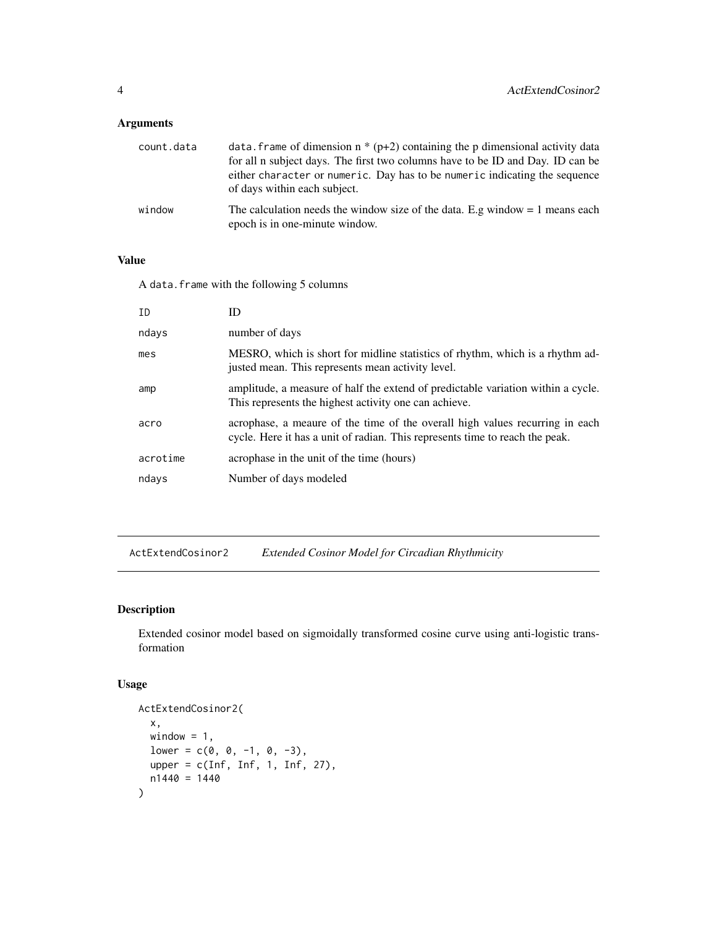<span id="page-3-0"></span>

| count.data | data. Frame of dimension $n * (p+2)$ containing the p dimensional activity data<br>for all n subject days. The first two columns have to be ID and Day. ID can be<br>either character or numeric. Day has to be numeric indicating the sequence<br>of days within each subject. |
|------------|---------------------------------------------------------------------------------------------------------------------------------------------------------------------------------------------------------------------------------------------------------------------------------|
| window     | The calculation needs the window size of the data. E.g window $= 1$ means each<br>epoch is in one-minute window.                                                                                                                                                                |

#### Value

A data.frame with the following 5 columns

| ID       | ID                                                                                                                                                           |
|----------|--------------------------------------------------------------------------------------------------------------------------------------------------------------|
| ndays    | number of days                                                                                                                                               |
| mes      | MESRO, which is short for midline statistics of rhythm, which is a rhythm ad-<br>justed mean. This represents mean activity level.                           |
| amp      | amplitude, a measure of half the extend of predictable variation within a cycle.<br>This represents the highest activity one can achieve.                    |
| acro     | acrophase, a meaure of the time of the overall high values recurring in each<br>cycle. Here it has a unit of radian. This represents time to reach the peak. |
| acrotime | acrophase in the unit of the time (hours)                                                                                                                    |
| ndays    | Number of days modeled                                                                                                                                       |

ActExtendCosinor2 *Extended Cosinor Model for Circadian Rhythmicity*

#### Description

Extended cosinor model based on sigmoidally transformed cosine curve using anti-logistic transformation

#### Usage

```
ActExtendCosinor2(
  x,
 window = 1,
 lower = c(0, 0, -1, 0, -3),upper = c(Inf, Inf, 1, Inf, 27),
 n1440 = 1440
\mathcal{L}
```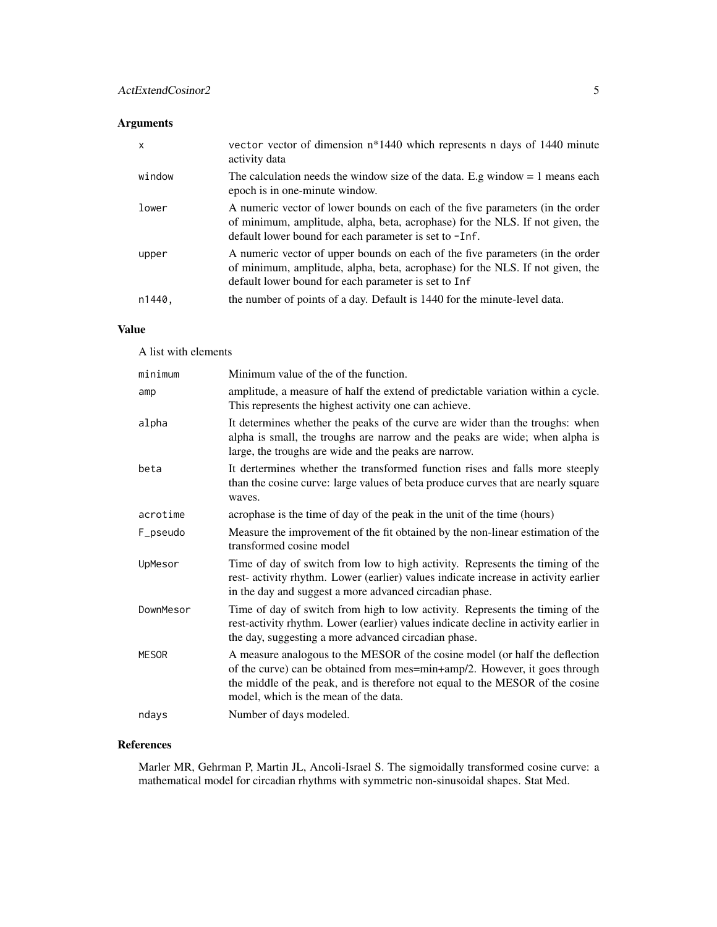| X      | vector vector of dimension $n*1440$ which represents n days of 1440 minute<br>activity data                                                                                                                              |
|--------|--------------------------------------------------------------------------------------------------------------------------------------------------------------------------------------------------------------------------|
| window | The calculation needs the window size of the data. E.g window $= 1$ means each<br>epoch is in one-minute window.                                                                                                         |
| lower  | A numeric vector of lower bounds on each of the five parameters (in the order<br>of minimum, amplitude, alpha, beta, acrophase) for the NLS. If not given, the<br>default lower bound for each parameter is set to -Inf. |
| upper  | A numeric vector of upper bounds on each of the five parameters (in the order<br>of minimum, amplitude, alpha, beta, acrophase) for the NLS. If not given, the<br>default lower bound for each parameter is set to Inf   |
| n1440, | the number of points of a day. Default is 1440 for the minute-level data.                                                                                                                                                |

#### Value

A list with elements

| minimum   | Minimum value of the of the function.                                                                                                                                                                                                                                                |
|-----------|--------------------------------------------------------------------------------------------------------------------------------------------------------------------------------------------------------------------------------------------------------------------------------------|
| amp       | amplitude, a measure of half the extend of predictable variation within a cycle.<br>This represents the highest activity one can achieve.                                                                                                                                            |
| alpha     | It determines whether the peaks of the curve are wider than the troughs: when<br>alpha is small, the troughs are narrow and the peaks are wide; when alpha is<br>large, the troughs are wide and the peaks are narrow.                                                               |
| beta      | It dertermines whether the transformed function rises and falls more steeply<br>than the cosine curve: large values of beta produce curves that are nearly square<br>waves.                                                                                                          |
| acrotime  | acrophase is the time of day of the peak in the unit of the time (hours)                                                                                                                                                                                                             |
| F_pseudo  | Measure the improvement of the fit obtained by the non-linear estimation of the<br>transformed cosine model                                                                                                                                                                          |
| UpMesor   | Time of day of switch from low to high activity. Represents the timing of the<br>rest-activity rhythm. Lower (earlier) values indicate increase in activity earlier<br>in the day and suggest a more advanced circadian phase.                                                       |
| DownMesor | Time of day of switch from high to low activity. Represents the timing of the<br>rest-activity rhythm. Lower (earlier) values indicate decline in activity earlier in<br>the day, suggesting a more advanced circadian phase.                                                        |
| MESOR     | A measure analogous to the MESOR of the cosine model (or half the deflection<br>of the curve) can be obtained from mes=min+amp/2. However, it goes through<br>the middle of the peak, and is therefore not equal to the MESOR of the cosine<br>model, which is the mean of the data. |
| ndays     | Number of days modeled.                                                                                                                                                                                                                                                              |

#### References

Marler MR, Gehrman P, Martin JL, Ancoli-Israel S. The sigmoidally transformed cosine curve: a mathematical model for circadian rhythms with symmetric non-sinusoidal shapes. Stat Med.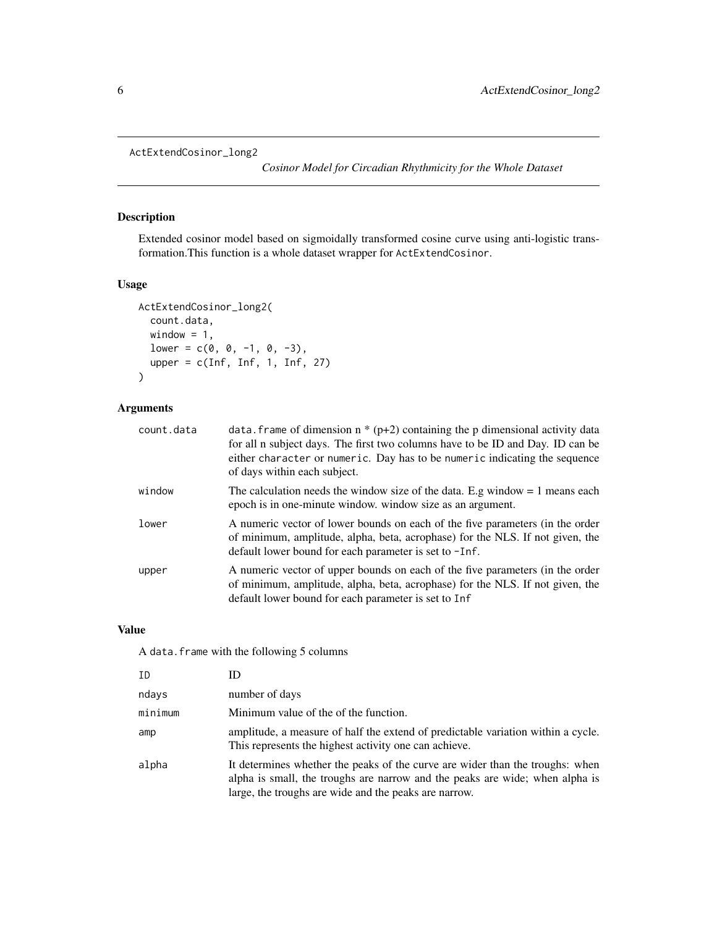```
ActExtendCosinor_long2
```
*Cosinor Model for Circadian Rhythmicity for the Whole Dataset*

#### Description

Extended cosinor model based on sigmoidally transformed cosine curve using anti-logistic transformation.This function is a whole dataset wrapper for ActExtendCosinor.

#### Usage

```
ActExtendCosinor_long2(
  count.data,
 window = 1,
 lower = c(0, 0, -1, 0, -3),upper = c(Inf, Inf, 1, Inf, 27))
```
#### Arguments

| count.data | data. frame of dimension $n * (p+2)$ containing the p dimensional activity data<br>for all n subject days. The first two columns have to be ID and Day. ID can be<br>either character or numeric. Day has to be numeric indicating the sequence<br>of days within each subject. |
|------------|---------------------------------------------------------------------------------------------------------------------------------------------------------------------------------------------------------------------------------------------------------------------------------|
| window     | The calculation needs the window size of the data. E.g window $= 1$ means each<br>epoch is in one-minute window, window size as an argument.                                                                                                                                    |
| lower      | A numeric vector of lower bounds on each of the five parameters (in the order<br>of minimum, amplitude, alpha, beta, acrophase) for the NLS. If not given, the<br>default lower bound for each parameter is set to -Inf.                                                        |
| upper      | A numeric vector of upper bounds on each of the five parameters (in the order<br>of minimum, amplitude, alpha, beta, acrophase) for the NLS. If not given, the<br>default lower bound for each parameter is set to Inf                                                          |

#### Value

A data.frame with the following 5 columns

| ΙD      |                                                                                                                                                                                                                        |
|---------|------------------------------------------------------------------------------------------------------------------------------------------------------------------------------------------------------------------------|
| ndays   | number of days                                                                                                                                                                                                         |
| minimum | Minimum value of the of the function.                                                                                                                                                                                  |
| amp     | amplitude, a measure of half the extend of predictable variation within a cycle.<br>This represents the highest activity one can achieve.                                                                              |
| alpha   | It determines whether the peaks of the curve are wider than the troughs: when<br>alpha is small, the troughs are narrow and the peaks are wide; when alpha is<br>large, the troughs are wide and the peaks are narrow. |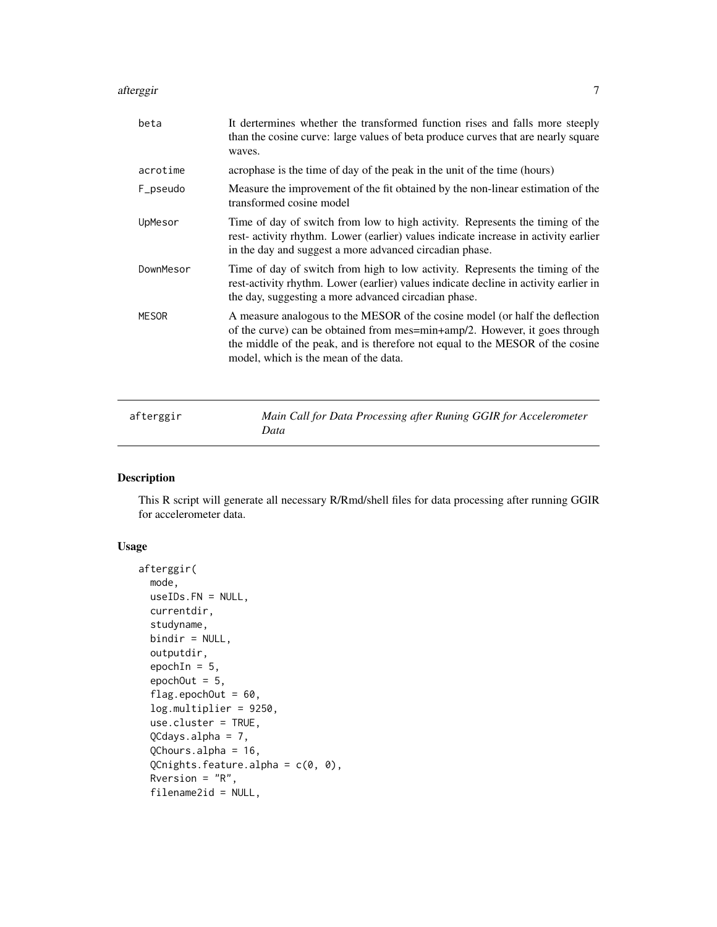#### <span id="page-6-0"></span>afterggir 7 and 2012 and 2013 and 2013 and 2013 and 2013 and 2013 and 2013 and 2013 and 2013 and 2013 and 2013

| beta         | It dertermines whether the transformed function rises and falls more steeply<br>than the cosine curve: large values of beta produce curves that are nearly square<br>waves.                                                                                                          |
|--------------|--------------------------------------------------------------------------------------------------------------------------------------------------------------------------------------------------------------------------------------------------------------------------------------|
| acrotime     | acrophase is the time of day of the peak in the unit of the time (hours)                                                                                                                                                                                                             |
| F_pseudo     | Measure the improvement of the fit obtained by the non-linear estimation of the<br>transformed cosine model                                                                                                                                                                          |
| UpMesor      | Time of day of switch from low to high activity. Represents the timing of the<br>rest- activity rhythm. Lower (earlier) values indicate increase in activity earlier<br>in the day and suggest a more advanced circadian phase.                                                      |
| DownMesor    | Time of day of switch from high to low activity. Represents the timing of the<br>rest-activity rhythm. Lower (earlier) values indicate decline in activity earlier in<br>the day, suggesting a more advanced circadian phase.                                                        |
| <b>MESOR</b> | A measure analogous to the MESOR of the cosine model (or half the deflection<br>of the curve) can be obtained from mes=min+amp/2. However, it goes through<br>the middle of the peak, and is therefore not equal to the MESOR of the cosine<br>model, which is the mean of the data. |
| afterggir    | Main Call for Data Processing after Runing GGIR for Accelerometer                                                                                                                                                                                                                    |

#### Description

This R script will generate all necessary R/Rmd/shell files for data processing after running GGIR for accelerometer data.

#### Usage

```
afterggir(
 mode,
 useIDs.FN = NULL,
  currentdir,
  studyname,
  bindir = NULL,
  outputdir,
  epochIn = 5,
  epochOut = 5,flag.epochOut = 60,
  log.multiplier = 9250,
  use.cluster = TRUE,
  QCdays.alpha = 7,
  QChours.alpha = 16,
  QCnights.feature.alpha = c(\theta, \theta),
  Rversion = "R",filename2id = NULL,
```
*Data*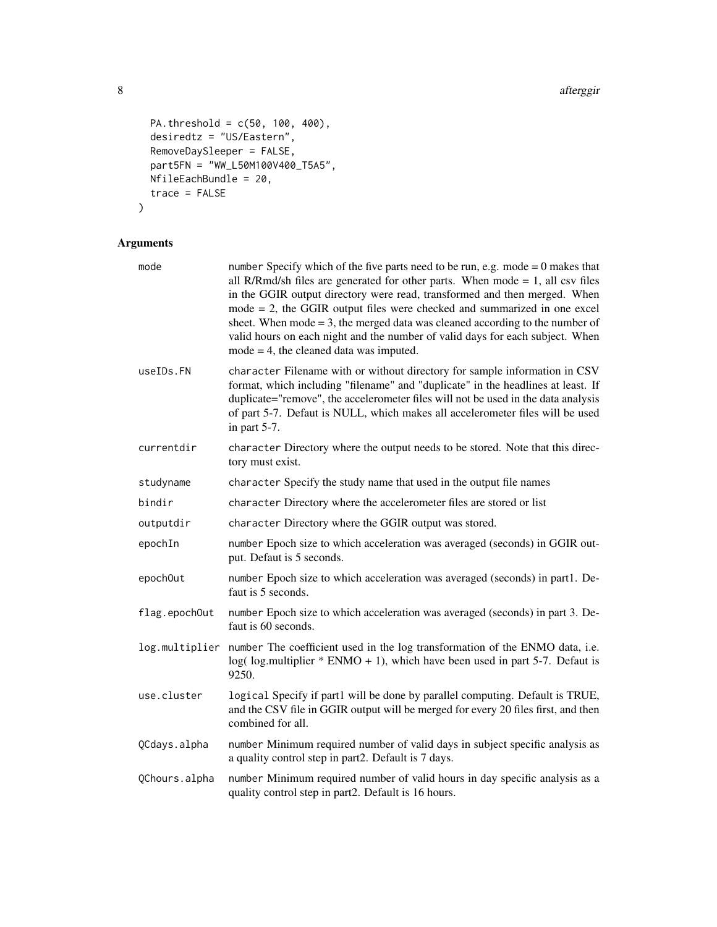```
PA.threshold = c(50, 100, 400),
desiredtz = "US/Eastern",
RemoveDaySleeper = FALSE,
part5FN = "WW_L50M100V400_T5A5",
NfileEachBundle = 20,
trace = FALSE
```

```
\mathcal{L}
```

| mode           | number Specify which of the five parts need to be run, e.g. mode $= 0$ makes that<br>all R/Rmd/sh files are generated for other parts. When mode $= 1$ , all csv files<br>in the GGIR output directory were read, transformed and then merged. When<br>$mode = 2$ , the GGIR output files were checked and summarized in one excel<br>sheet. When mode $=$ 3, the merged data was cleaned according to the number of<br>valid hours on each night and the number of valid days for each subject. When<br>$mode = 4$ , the cleaned data was imputed. |
|----------------|-----------------------------------------------------------------------------------------------------------------------------------------------------------------------------------------------------------------------------------------------------------------------------------------------------------------------------------------------------------------------------------------------------------------------------------------------------------------------------------------------------------------------------------------------------|
| useIDs.FN      | character Filename with or without directory for sample information in CSV<br>format, which including "filename" and "duplicate" in the headlines at least. If<br>duplicate="remove", the accelerometer files will not be used in the data analysis<br>of part 5-7. Defaut is NULL, which makes all accelerometer files will be used<br>in part $5-7$ .                                                                                                                                                                                             |
| currentdir     | character Directory where the output needs to be stored. Note that this direc-<br>tory must exist.                                                                                                                                                                                                                                                                                                                                                                                                                                                  |
| studyname      | character Specify the study name that used in the output file names                                                                                                                                                                                                                                                                                                                                                                                                                                                                                 |
| bindir         | character Directory where the accelerometer files are stored or list                                                                                                                                                                                                                                                                                                                                                                                                                                                                                |
| outputdir      | character Directory where the GGIR output was stored.                                                                                                                                                                                                                                                                                                                                                                                                                                                                                               |
| epochIn        | number Epoch size to which acceleration was averaged (seconds) in GGIR out-<br>put. Defaut is 5 seconds.                                                                                                                                                                                                                                                                                                                                                                                                                                            |
| epoch0ut       | number Epoch size to which acceleration was averaged (seconds) in part1. De-<br>faut is 5 seconds.                                                                                                                                                                                                                                                                                                                                                                                                                                                  |
| flag.epochOut  | number Epoch size to which acceleration was averaged (seconds) in part 3. De-<br>faut is 60 seconds.                                                                                                                                                                                                                                                                                                                                                                                                                                                |
| log.multiplier | number The coefficient used in the log transformation of the ENMO data, i.e.<br>$log($ log( log.multiplier $*$ ENMO + 1), which have been used in part 5-7. Defaut is<br>9250.                                                                                                                                                                                                                                                                                                                                                                      |
| use.cluster    | logical Specify if part1 will be done by parallel computing. Default is TRUE,<br>and the CSV file in GGIR output will be merged for every 20 files first, and then<br>combined for all.                                                                                                                                                                                                                                                                                                                                                             |
| QCdays.alpha   | number Minimum required number of valid days in subject specific analysis as<br>a quality control step in part2. Default is 7 days.                                                                                                                                                                                                                                                                                                                                                                                                                 |
| QChours.alpha  | number Minimum required number of valid hours in day specific analysis as a<br>quality control step in part2. Default is 16 hours.                                                                                                                                                                                                                                                                                                                                                                                                                  |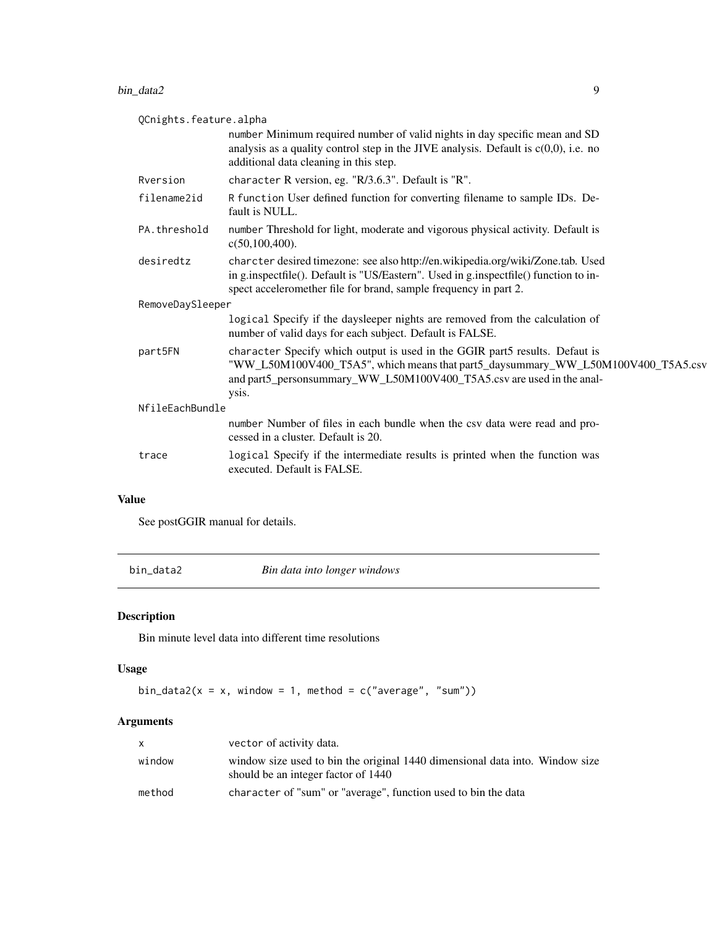#### <span id="page-8-0"></span>bin\_data2 9

| QCnights.feature.alpha |                                                                                                                                                                                                                                                   |  |
|------------------------|---------------------------------------------------------------------------------------------------------------------------------------------------------------------------------------------------------------------------------------------------|--|
|                        | number Minimum required number of valid nights in day specific mean and SD<br>analysis as a quality control step in the JIVE analysis. Default is $c(0,0)$ , i.e. no<br>additional data cleaning in this step.                                    |  |
| Rversion               | character R version, eg. "R/3.6.3". Default is "R".                                                                                                                                                                                               |  |
| filename2id            | R function User defined function for converting filename to sample IDs. De-<br>fault is NULL.                                                                                                                                                     |  |
| PA.threshold           | number Threshold for light, moderate and vigorous physical activity. Default is<br>$c(50,100,400)$ .                                                                                                                                              |  |
| desiredtz              | charcter desired timezone: see also http://en.wikipedia.org/wiki/Zone.tab. Used<br>in g.inspectfile(). Default is "US/Eastern". Used in g.inspectfile() function to in-<br>spect acceleromether file for brand, sample frequency in part 2.       |  |
| RemoveDaySleeper       |                                                                                                                                                                                                                                                   |  |
|                        | logical Specify if the daysleeper nights are removed from the calculation of<br>number of valid days for each subject. Default is FALSE.                                                                                                          |  |
| part5FN                | character Specify which output is used in the GGIR part5 results. Defaut is<br>"WW_L50M100V400_T5A5", which means that part5_daysummary_WW_L50M100V400_T5A5.csv<br>and part5_personsummary_WW_L50M100V400_T5A5.csv are used in the anal-<br>ysis. |  |
| NfileEachBundle        |                                                                                                                                                                                                                                                   |  |
|                        | number Number of files in each bundle when the csv data were read and pro-<br>cessed in a cluster. Default is 20.                                                                                                                                 |  |
| trace                  | logical Specify if the intermediate results is printed when the function was<br>executed. Default is FALSE.                                                                                                                                       |  |

#### Value

See postGGIR manual for details.

bin\_data2 *Bin data into longer windows*

#### Description

Bin minute level data into different time resolutions

#### Usage

```
bin_data2(x = x, window = 1, method = c("average", "sum"))
```

| X      | vector of activity data.                                                                                            |
|--------|---------------------------------------------------------------------------------------------------------------------|
| window | window size used to bin the original 1440 dimensional data into. Window size<br>should be an integer factor of 1440 |
| method | character of "sum" or "average", function used to bin the data                                                      |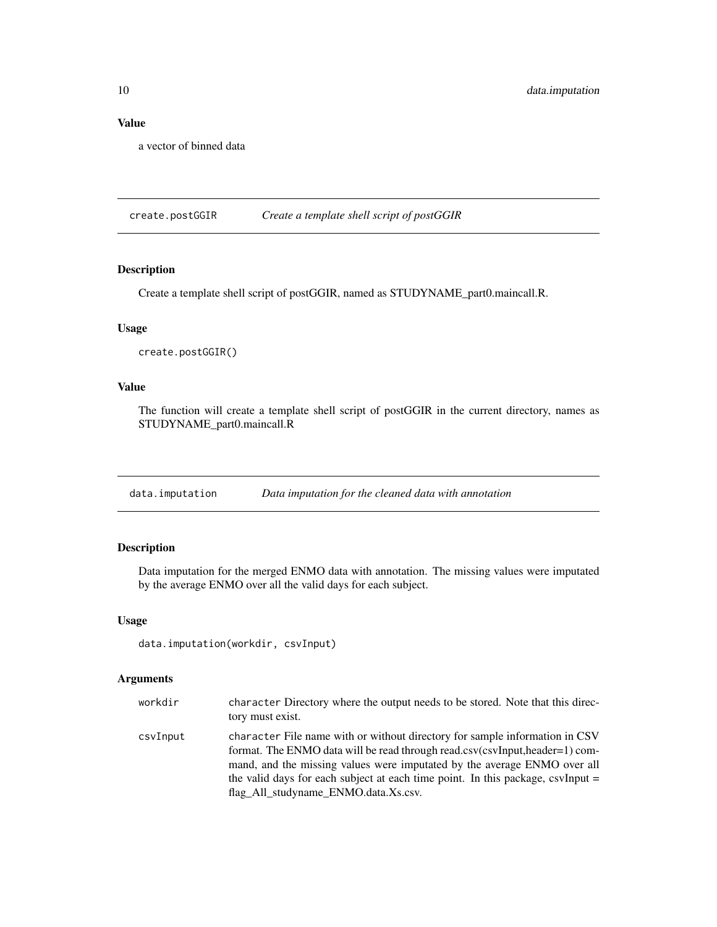#### <span id="page-9-0"></span>Value

a vector of binned data

create.postGGIR *Create a template shell script of postGGIR*

#### Description

Create a template shell script of postGGIR, named as STUDYNAME\_part0.maincall.R.

#### Usage

```
create.postGGIR()
```
#### Value

The function will create a template shell script of postGGIR in the current directory, names as STUDYNAME\_part0.maincall.R

data.imputation *Data imputation for the cleaned data with annotation*

#### Description

Data imputation for the merged ENMO data with annotation. The missing values were imputated by the average ENMO over all the valid days for each subject.

#### Usage

```
data.imputation(workdir, csvInput)
```

| workdir  | character Directory where the output needs to be stored. Note that this direc-<br>tory must exist.                                                                                                                                                                                                                                                                |
|----------|-------------------------------------------------------------------------------------------------------------------------------------------------------------------------------------------------------------------------------------------------------------------------------------------------------------------------------------------------------------------|
| csvInput | character File name with or without directory for sample information in CSV<br>format. The ENMO data will be read through read.csv(csvInput,header=1) com-<br>mand, and the missing values were imputated by the average ENMO over all<br>the valid days for each subject at each time point. In this package, csvInput =<br>flag All studyname ENMO.data.Xs.csv. |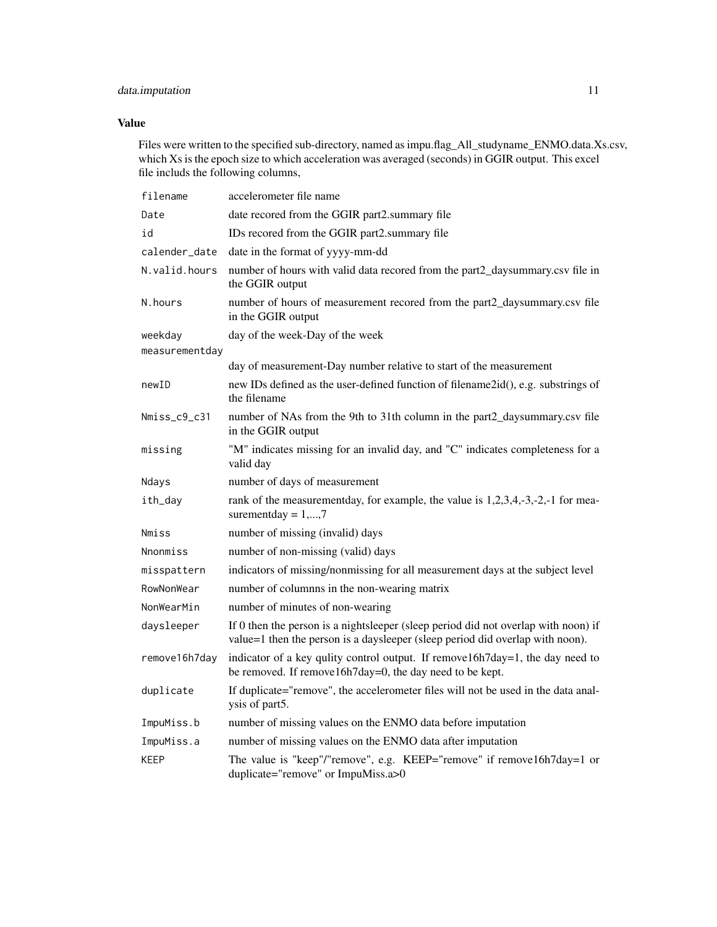#### data.imputation 11

#### Value

Files were written to the specified sub-directory, named as impu.flag\_All\_studyname\_ENMO.data.Xs.csv, which Xs is the epoch size to which acceleration was averaged (seconds) in GGIR output. This excel file includs the following columns,

| filename        | accelerometer file name                                                                                                                                             |
|-----------------|---------------------------------------------------------------------------------------------------------------------------------------------------------------------|
| Date            | date recored from the GGIR part2.summary file                                                                                                                       |
| id              | IDs recored from the GGIR part2.summary file                                                                                                                        |
| calender_date   | date in the format of yyyy-mm-dd                                                                                                                                    |
| N.valid.hours   | number of hours with valid data recored from the part2_daysummary.csv file in<br>the GGIR output                                                                    |
| N.hours         | number of hours of measurement recored from the part2_daysummary.csv file<br>in the GGIR output                                                                     |
| weekday         | day of the week-Day of the week                                                                                                                                     |
| measurementday  |                                                                                                                                                                     |
|                 | day of measurement-Day number relative to start of the measurement                                                                                                  |
| newID           | new IDs defined as the user-defined function of filename2id(), e.g. substrings of<br>the filename                                                                   |
| Nmiss_c9_c31    | number of NAs from the 9th to 31th column in the part2_daysummary.csv file<br>in the GGIR output                                                                    |
| missing         | "M" indicates missing for an invalid day, and "C" indicates completeness for a<br>valid day                                                                         |
| Ndays           | number of days of measurement                                                                                                                                       |
| ith_day         | rank of the measurementday, for example, the value is 1,2,3,4,-3,-2,-1 for mea-<br>surementday = $1,,7$                                                             |
| Nmiss           | number of missing (invalid) days                                                                                                                                    |
| <b>Nnonmiss</b> | number of non-missing (valid) days                                                                                                                                  |
| misspattern     | indicators of missing/nonmissing for all measurement days at the subject level                                                                                      |
| RowNonWear      | number of columnns in the non-wearing matrix                                                                                                                        |
| NonWearMin      | number of minutes of non-wearing                                                                                                                                    |
| daysleeper      | If 0 then the person is a nightsleeper (sleep period did not overlap with noon) if<br>value=1 then the person is a daysleeper (sleep period did overlap with noon). |
| remove16h7day   | indicator of a key qulity control output. If remove16h7day=1, the day need to<br>be removed. If remove16h7day=0, the day need to be kept.                           |
| duplicate       | If duplicate="remove", the accelerometer files will not be used in the data anal-<br>ysis of part5.                                                                 |
| ImpuMiss.b      | number of missing values on the ENMO data before imputation                                                                                                         |
| ImpuMiss.a      | number of missing values on the ENMO data after imputation                                                                                                          |
| <b>KEEP</b>     | The value is "keep"/"remove", e.g. KEEP="remove" if remove16h7day=1 or<br>duplicate="remove" or ImpuMiss.a>0                                                        |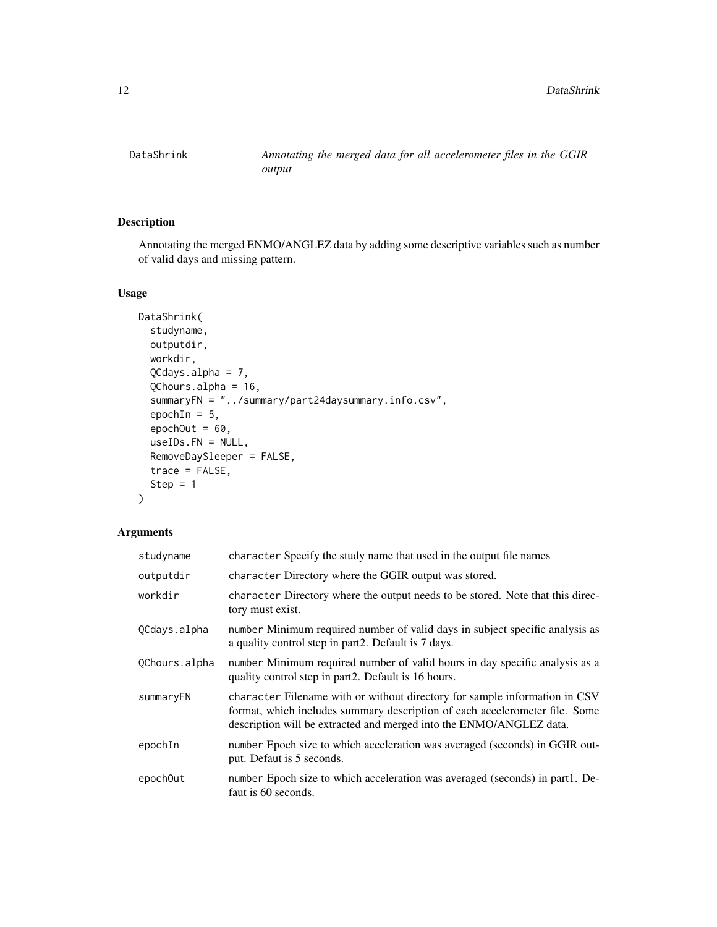<span id="page-11-0"></span>

Annotating the merged ENMO/ANGLEZ data by adding some descriptive variables such as number of valid days and missing pattern.

#### Usage

```
DataShrink(
  studyname,
  outputdir,
  workdir,
  QCdays.alpha = 7,
  QChours.alpha = 16,
  summaryFN = "../summary/part24daysummary.info.csv",
  epochIn = 5,
  epochOut = 60,useIDs.FN = NULL,
  RemoveDaySleeper = FALSE,
  trace = FALSE,
  Step = 1)
```

| studyname     | character Specify the study name that used in the output file names                                                                                                                                                              |
|---------------|----------------------------------------------------------------------------------------------------------------------------------------------------------------------------------------------------------------------------------|
| outputdir     | character Directory where the GGIR output was stored.                                                                                                                                                                            |
| workdir       | character Directory where the output needs to be stored. Note that this direc-<br>tory must exist.                                                                                                                               |
| QCdays.alpha  | number Minimum required number of valid days in subject specific analysis as<br>a quality control step in part2. Default is 7 days.                                                                                              |
| QChours.alpha | number Minimum required number of valid hours in day specific analysis as a<br>quality control step in part 2. Default is 16 hours.                                                                                              |
| summaryFN     | character Filename with or without directory for sample information in CSV<br>format, which includes summary description of each accelerometer file. Some<br>description will be extracted and merged into the ENMO/ANGLEZ data. |
| epochIn       | number Epoch size to which acceleration was averaged (seconds) in GGIR out-<br>put. Defaut is 5 seconds.                                                                                                                         |
| epoch0ut      | number Epoch size to which acceleration was averaged (seconds) in part1. De-<br>faut is 60 seconds.                                                                                                                              |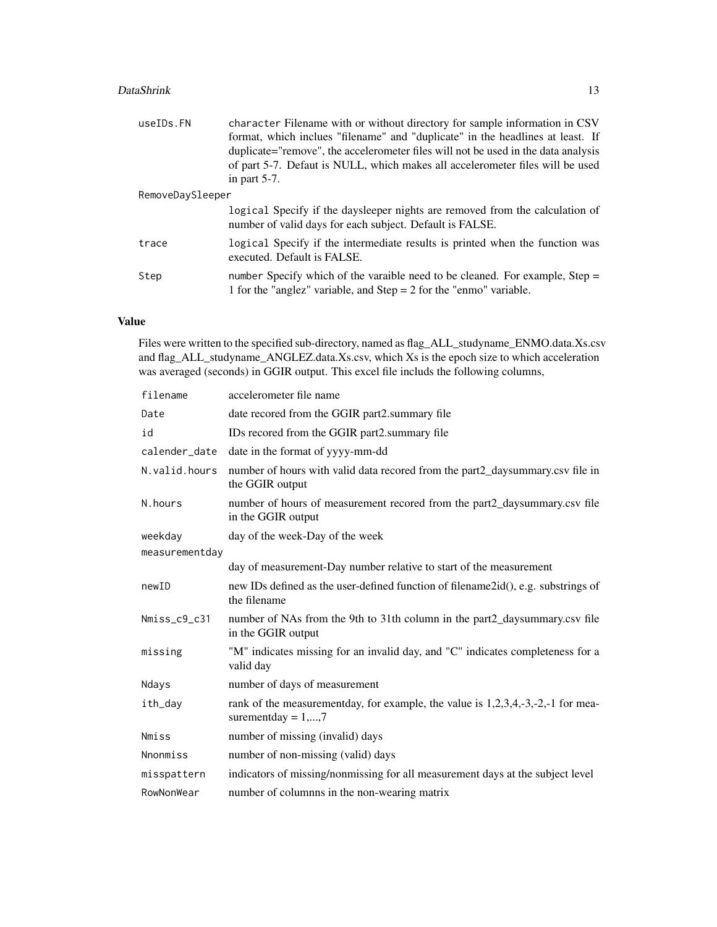#### DataShrink 13

| useIDs.FN        | character Filename with or without directory for sample information in CSV<br>format, which inclues "filename" and "duplicate" in the headlines at least. If<br>duplicate="remove", the accelerometer files will not be used in the data analysis<br>of part 5-7. Defaut is NULL, which makes all accelerometer files will be used<br>in part $5-7$ . |  |
|------------------|-------------------------------------------------------------------------------------------------------------------------------------------------------------------------------------------------------------------------------------------------------------------------------------------------------------------------------------------------------|--|
| RemoveDaySleeper |                                                                                                                                                                                                                                                                                                                                                       |  |
|                  | logical Specify if the days leeper nights are removed from the calculation of<br>number of valid days for each subject. Default is FALSE.                                                                                                                                                                                                             |  |
| trace            | logical Specify if the intermediate results is printed when the function was<br>executed. Default is FALSE.                                                                                                                                                                                                                                           |  |
| Step             | number Specify which of the varaible need to be cleaned. For example, Step =<br>1 for the "anglez" variable, and $Step = 2$ for the "enmo" variable.                                                                                                                                                                                                  |  |

#### Value

Files were written to the specified sub-directory, named as flag\_ALL\_studyname\_ENMO.data.Xs.csv and flag\_ALL\_studyname\_ANGLEZ.data.Xs.csv, which Xs is the epoch size to which acceleration was averaged (seconds) in GGIR output. This excel file includs the following columns,

| filename        | accelerometer file name                                                                                 |
|-----------------|---------------------------------------------------------------------------------------------------------|
| Date            | date recored from the GGIR part2.summary file                                                           |
| id              | IDs recored from the GGIR part2.summary file                                                            |
| calender_date   | date in the format of yyyy-mm-dd                                                                        |
| N. valid. hours | number of hours with valid data recored from the part2_daysummary.csv file in<br>the GGIR output        |
| N.hours         | number of hours of measurement recored from the part2_daysummary.csv file<br>in the GGIR output         |
| weekday         | day of the week-Day of the week                                                                         |
| measurementday  |                                                                                                         |
|                 | day of measurement-Day number relative to start of the measurement                                      |
| newID           | new IDs defined as the user-defined function of filename2id(), e.g. substrings of<br>the filename       |
| Nmiss_c9_c31    | number of NAs from the 9th to 31th column in the part2_daysummary.csv file<br>in the GGIR output        |
| missing         | "M" indicates missing for an invalid day, and "C" indicates completeness for a<br>valid day             |
| Ndays           | number of days of measurement                                                                           |
| ith_day         | rank of the measurementday, for example, the value is 1,2,3,4,-3,-2,-1 for mea-<br>surementday = $1,,7$ |
| <b>Nmiss</b>    | number of missing (invalid) days                                                                        |
| Nnonmiss        | number of non-missing (valid) days                                                                      |
| misspattern     | indicators of missing/nonmissing for all measurement days at the subject level                          |
| RowNonWear      | number of columnns in the non-wearing matrix                                                            |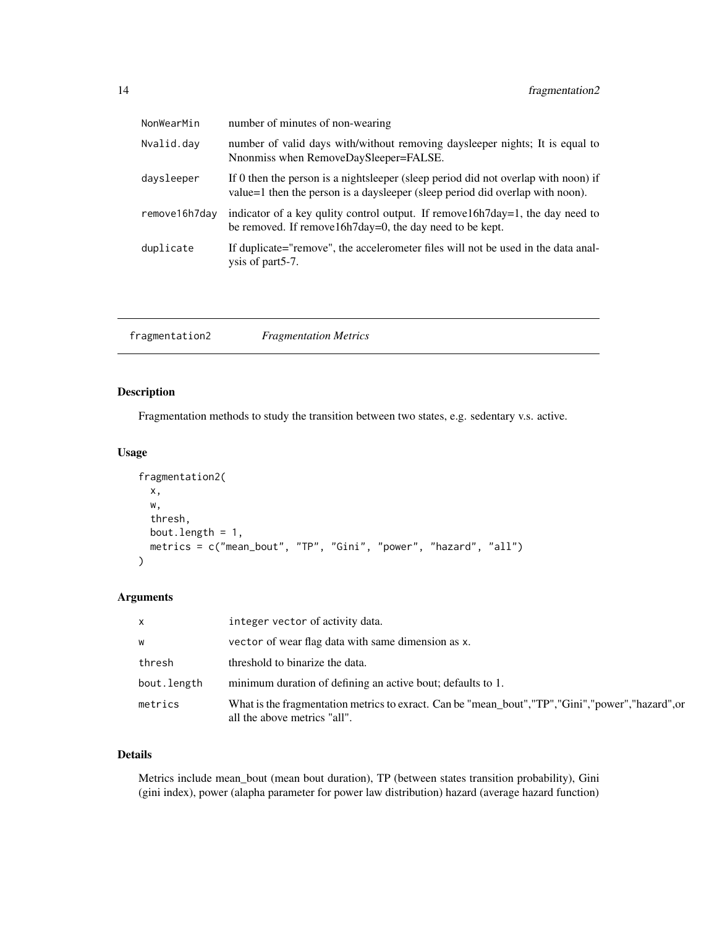<span id="page-13-0"></span>

| NonWearMin    | number of minutes of non-wearing                                                                                                                                    |
|---------------|---------------------------------------------------------------------------------------------------------------------------------------------------------------------|
| Nvalid.day    | number of valid days with/without removing days leeper nights; It is equal to<br>Nnonmiss when RemoveDaySleeper=FALSE.                                              |
| daysleeper    | If 0 then the person is a nightsleeper (sleep period did not overlap with noon) if<br>value=1 then the person is a daysleeper (sleep period did overlap with noon). |
| remove16h7day | indicator of a key quilty control output. If remove $16h7day=1$ , the day need to<br>be removed. If remove $16h7day=0$ , the day need to be kept.                   |
| duplicate     | If duplicate="remove", the accelerometer files will not be used in the data anal-<br>ysis of part5-7.                                                               |

| fragmentation2 | <b>Fragmentation Metrics</b> |  |
|----------------|------------------------------|--|
|----------------|------------------------------|--|

Fragmentation methods to study the transition between two states, e.g. sedentary v.s. active.

#### Usage

```
fragmentation2(
  x,
 w,
  thresh,
 bout.length = 1,
 metrics = c("mean_bout", "TP", "Gini", "power", "hazard", "all")
)
```
#### Arguments

| $\mathsf{x}$ | integer vector of activity data.                                                                                                     |
|--------------|--------------------------------------------------------------------------------------------------------------------------------------|
| W            | vector of wear flag data with same dimension as x.                                                                                   |
| thresh       | threshold to binarize the data.                                                                                                      |
| bout.length  | minimum duration of defining an active bout; defaults to 1.                                                                          |
| metrics      | What is the fragmentation metrics to exract. Can be "mean_bout", "TP", "Gini", "power", "hazard", or<br>all the above metrics "all". |

#### Details

Metrics include mean\_bout (mean bout duration), TP (between states transition probability), Gini (gini index), power (alapha parameter for power law distribution) hazard (average hazard function)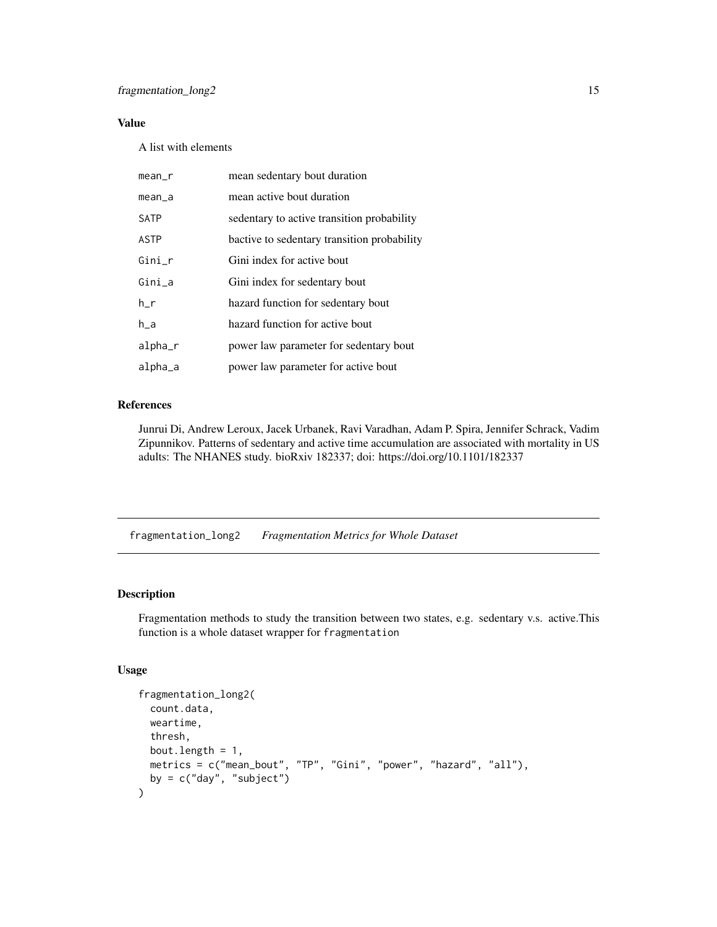#### <span id="page-14-0"></span>Value

A list with elements

| mean_r      | mean sedentary bout duration                |
|-------------|---------------------------------------------|
| $mean_a$    | mean active bout duration                   |
| SATP        | sedentary to active transition probability  |
| <b>ASTP</b> | bactive to sedentary transition probability |
| $Gini_r$    | Gini index for active bout                  |
| $Gini_a$    | Gini index for sedentary bout               |
| h r         | hazard function for sedentary bout          |
| h_a         | hazard function for active bout             |
| alpha_r     | power law parameter for sedentary bout      |
| alpha_a     | power law parameter for active bout         |

#### References

Junrui Di, Andrew Leroux, Jacek Urbanek, Ravi Varadhan, Adam P. Spira, Jennifer Schrack, Vadim Zipunnikov. Patterns of sedentary and active time accumulation are associated with mortality in US adults: The NHANES study. bioRxiv 182337; doi: https://doi.org/10.1101/182337

fragmentation\_long2 *Fragmentation Metrics for Whole Dataset*

#### Description

Fragmentation methods to study the transition between two states, e.g. sedentary v.s. active.This function is a whole dataset wrapper for fragmentation

#### Usage

```
fragmentation_long2(
  count.data,
 weartime,
 thresh,
 bout.length = 1,
 metrics = c("mean_bout", "TP", "Gini", "power", "hazard", "all"),
 by = c("day", "subject")\mathcal{E}
```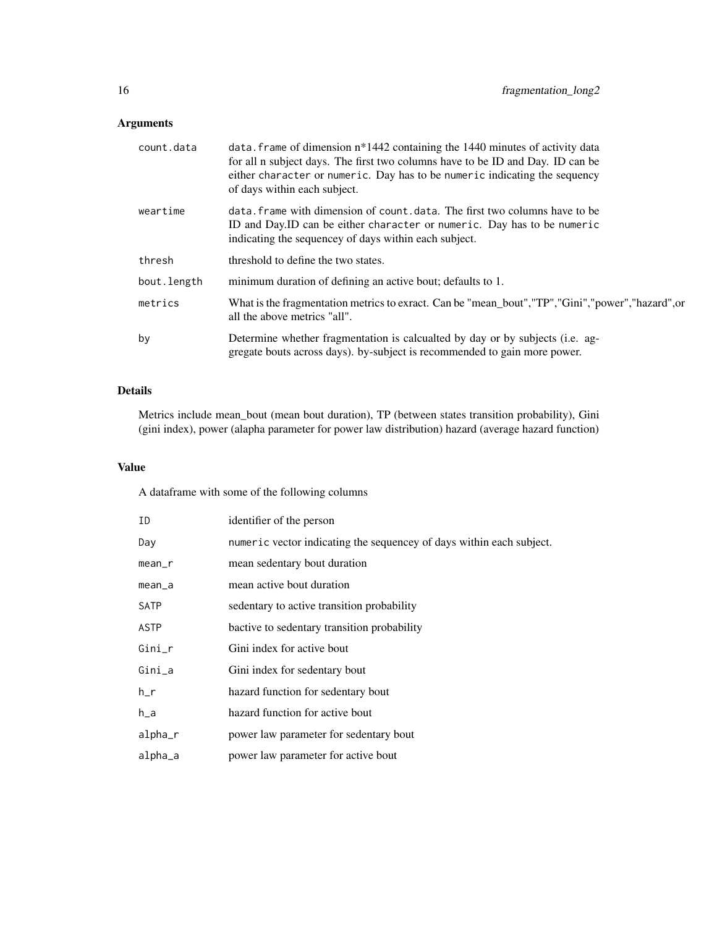| count.data  | data. Frame of dimension $n*1442$ containing the 1440 minutes of activity data<br>for all n subject days. The first two columns have to be ID and Day. ID can be<br>either character or numeric. Day has to be numeric indicating the sequency<br>of days within each subject. |
|-------------|--------------------------------------------------------------------------------------------------------------------------------------------------------------------------------------------------------------------------------------------------------------------------------|
| weartime    | data. frame with dimension of count, data. The first two columns have to be<br>ID and Day. ID can be either character or numeric. Day has to be numeric<br>indicating the sequencey of days within each subject.                                                               |
| thresh      | threshold to define the two states.                                                                                                                                                                                                                                            |
| bout.length | minimum duration of defining an active bout; defaults to 1.                                                                                                                                                                                                                    |
| metrics     | What is the fragmentation metrics to exract. Can be "mean_bout","TP","Gini","power","hazard",or<br>all the above metrics "all".                                                                                                                                                |
| by          | Determine whether fragmentation is calcualted by day or by subjects (i.e. ag-<br>gregate bouts across days). by-subject is recommended to gain more power.                                                                                                                     |

#### Details

Metrics include mean\_bout (mean bout duration), TP (between states transition probability), Gini (gini index), power (alapha parameter for power law distribution) hazard (average hazard function)

#### Value

A dataframe with some of the following columns

| ID          | identifier of the person                                             |
|-------------|----------------------------------------------------------------------|
| Day         | numeric vector indicating the sequencey of days within each subject. |
| mean_r      | mean sedentary bout duration                                         |
| mean_a      | mean active bout duration                                            |
| <b>SATP</b> | sedentary to active transition probability                           |
| ASTP        | bactive to sedentary transition probability                          |
| Gini_r      | Gini index for active bout                                           |
| $Gini_a$    | Gini index for sedentary bout                                        |
| h r         | hazard function for sedentary bout                                   |
| $h_a$       | hazard function for active bout                                      |
| alpha_r     | power law parameter for sedentary bout                               |
| alpha_a     | power law parameter for active bout                                  |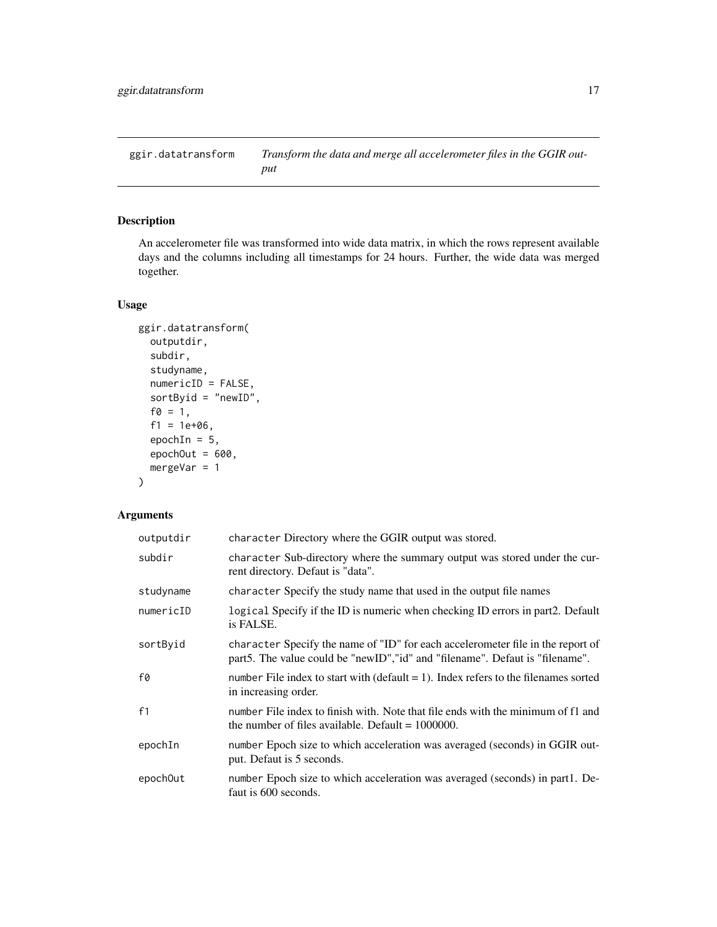<span id="page-16-0"></span>ggir.datatransform *Transform the data and merge all accelerometer files in the GGIR output*

#### Description

An accelerometer file was transformed into wide data matrix, in which the rows represent available days and the columns including all timestamps for 24 hours. Further, the wide data was merged together.

#### Usage

```
ggir.datatransform(
  outputdir,
  subdir,
  studyname,
  numericID = FALSE,
  sortByid = "newID",
  f0 = 1,
  f1 = 1e+06,
  epochIn = 5,
  epochOut = 600,mergeVar = 1
)
```

| outputdir | character Directory where the GGIR output was stored.                                                                                                              |
|-----------|--------------------------------------------------------------------------------------------------------------------------------------------------------------------|
| subdir    | character Sub-directory where the summary output was stored under the cur-<br>rent directory. Defaut is "data".                                                    |
| studyname | character Specify the study name that used in the output file names                                                                                                |
| numericID | logical Specify if the ID is numeric when checking ID errors in part2. Default<br>is FALSE.                                                                        |
| sortByid  | character Specify the name of "ID" for each accelerometer file in the report of<br>part 5. The value could be "new ID", "id" and "filename". Defaut is "filename". |
| f0        | number File index to start with $(default = 1)$ . Index refers to the filenames sorted<br>in increasing order.                                                     |
| f1        | number File index to finish with. Note that file ends with the minimum of f1 and<br>the number of files available. Default $= 1000000$ .                           |
| epochIn   | number Epoch size to which acceleration was averaged (seconds) in GGIR out-<br>put. Defaut is 5 seconds.                                                           |
| epochOut  | number Epoch size to which acceleration was averaged (seconds) in part1. De-<br>faut is 600 seconds.                                                               |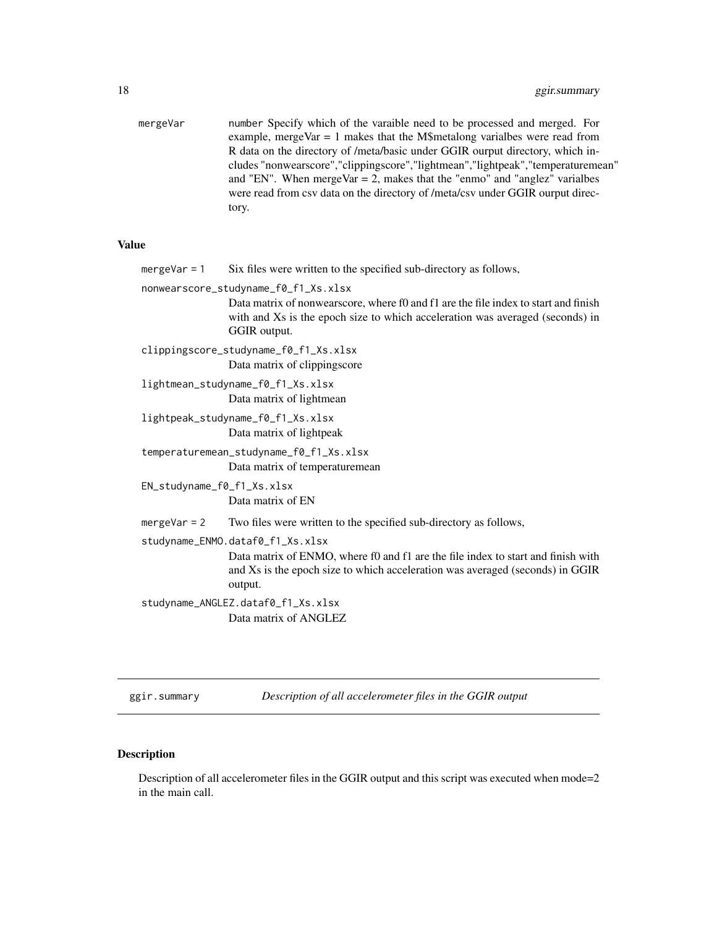<span id="page-17-0"></span>

| mergeVar | number Specify which of the varaible need to be processed and merged. For           |
|----------|-------------------------------------------------------------------------------------|
|          | example, mergeVar $= 1$ makes that the M\$metalong varialbes were read from         |
|          | R data on the directory of /meta/basic under GGIR ourput directory, which in-       |
|          | cludes "nonwearscore", "clippingscore", "lightmean", "lightpeak", "temperaturemean" |
|          | and "EN". When mergeVar $= 2$ , makes that the "enmo" and "anglez" variables        |
|          | were read from csy data on the directory of /meta/csy under GGIR ourput direc-      |
|          | tory.                                                                               |
|          |                                                                                     |

#### Value

| $mergeVar = 1$                     | Six files were written to the specified sub-directory as follows,                                                                                                                                                            |
|------------------------------------|------------------------------------------------------------------------------------------------------------------------------------------------------------------------------------------------------------------------------|
|                                    | nonwearscore_studyname_f0_f1_Xs.xlsx<br>Data matrix of nonwearscore, where f0 and f1 are the file index to start and finish<br>with and Xs is the epoch size to which acceleration was averaged (seconds) in<br>GGIR output. |
|                                    | clippingscore_studyname_f0_f1_Xs.xlsx<br>Data matrix of clippingscore                                                                                                                                                        |
|                                    | lightmean_studyname_f0_f1_Xs.xlsx<br>Data matrix of lightmean                                                                                                                                                                |
|                                    | lightpeak_studyname_f0_f1_Xs.xlsx<br>Data matrix of lightpeak                                                                                                                                                                |
|                                    | temperaturemean_studyname_f0_f1_Xs.xlsx<br>Data matrix of temperaturemean                                                                                                                                                    |
| EN_studyname_f0_f1_Xs.xlsx         | Data matrix of EN                                                                                                                                                                                                            |
| mergeVar = $2$                     | Two files were written to the specified sub-directory as follows,                                                                                                                                                            |
|                                    | studyname_ENMO.dataf0_f1_Xs.xlsx<br>Data matrix of ENMO, where f0 and f1 are the file index to start and finish with<br>and Xs is the epoch size to which acceleration was averaged (seconds) in GGIR<br>output.             |
| studyname_ANGLEZ.dataf0_f1_Xs.xlsx |                                                                                                                                                                                                                              |
|                                    | Data matrix of ANGLEZ                                                                                                                                                                                                        |

ggir.summary *Description of all accelerometer files in the GGIR output*

### Description

Description of all accelerometer files in the GGIR output and this script was executed when mode=2 in the main call.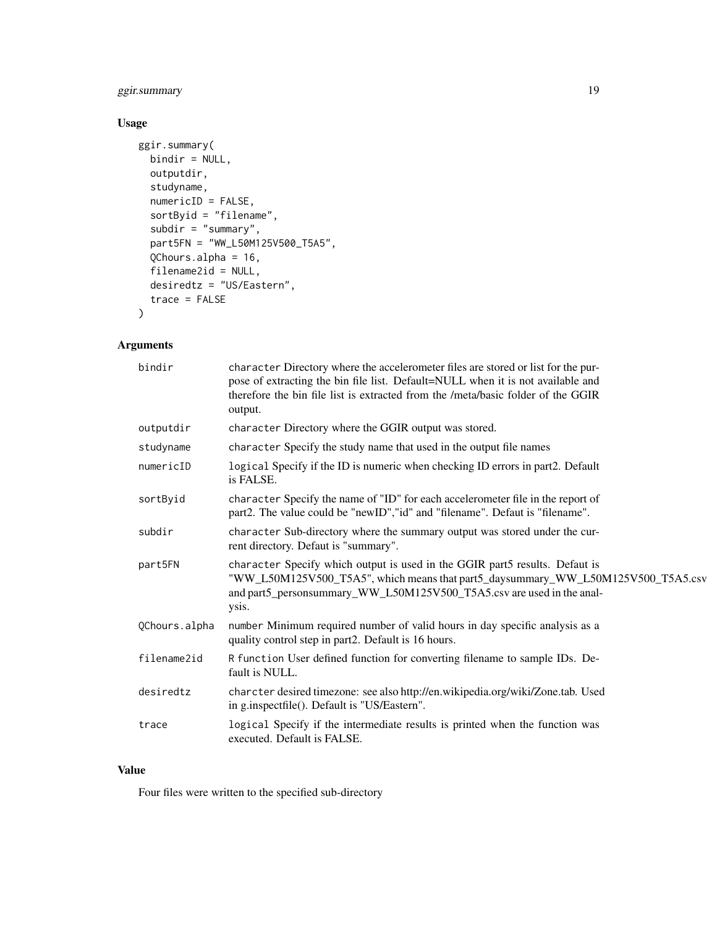#### ggir.summary 19

#### Usage

```
ggir.summary(
  bindir = NULL,
  outputdir,
  studyname,
  numericID = FALSE,
  sortByid = "filename",
  subdir = "summary",part5FN = "WW_L50M125V500_T5A5",
  QChours.alpha = 16,
  filename2id = NULL,
  desiredtz = "US/Eastern",
  trace = FALSE
\mathcal{L}
```
#### Arguments

| bindir        | character Directory where the accelerometer files are stored or list for the pur-<br>pose of extracting the bin file list. Default=NULL when it is not available and<br>therefore the bin file list is extracted from the /meta/basic folder of the GGIR<br>output. |
|---------------|---------------------------------------------------------------------------------------------------------------------------------------------------------------------------------------------------------------------------------------------------------------------|
| outputdir     | character Directory where the GGIR output was stored.                                                                                                                                                                                                               |
| studyname     | character Specify the study name that used in the output file names                                                                                                                                                                                                 |
| numericID     | logical Specify if the ID is numeric when checking ID errors in part2. Default<br>is FALSE.                                                                                                                                                                         |
| sortByid      | character Specify the name of "ID" for each accelerometer file in the report of<br>part2. The value could be "newID", "id" and "filename". Defaut is "filename".                                                                                                    |
| subdir        | character Sub-directory where the summary output was stored under the cur-<br>rent directory. Defaut is "summary".                                                                                                                                                  |
| part5FN       | character Specify which output is used in the GGIR part5 results. Defaut is<br>"WW_L50M125V500_T5A5", which means that part5_daysummary_WW_L50M125V500_T5A5.csv<br>and part5_personsummary_WW_L50M125V500_T5A5.csv are used in the anal-<br>ysis.                   |
| QChours.alpha | number Minimum required number of valid hours in day specific analysis as a<br>quality control step in part2. Default is 16 hours.                                                                                                                                  |
| filename2id   | R function User defined function for converting filename to sample IDs. De-<br>fault is NULL.                                                                                                                                                                       |
| desiredtz     | charcter desired timezone: see also http://en.wikipedia.org/wiki/Zone.tab. Used<br>in g.inspectfile(). Default is "US/Eastern".                                                                                                                                     |
| trace         | logical Specify if the intermediate results is printed when the function was<br>executed. Default is FALSE.                                                                                                                                                         |

#### Value

Four files were written to the specified sub-directory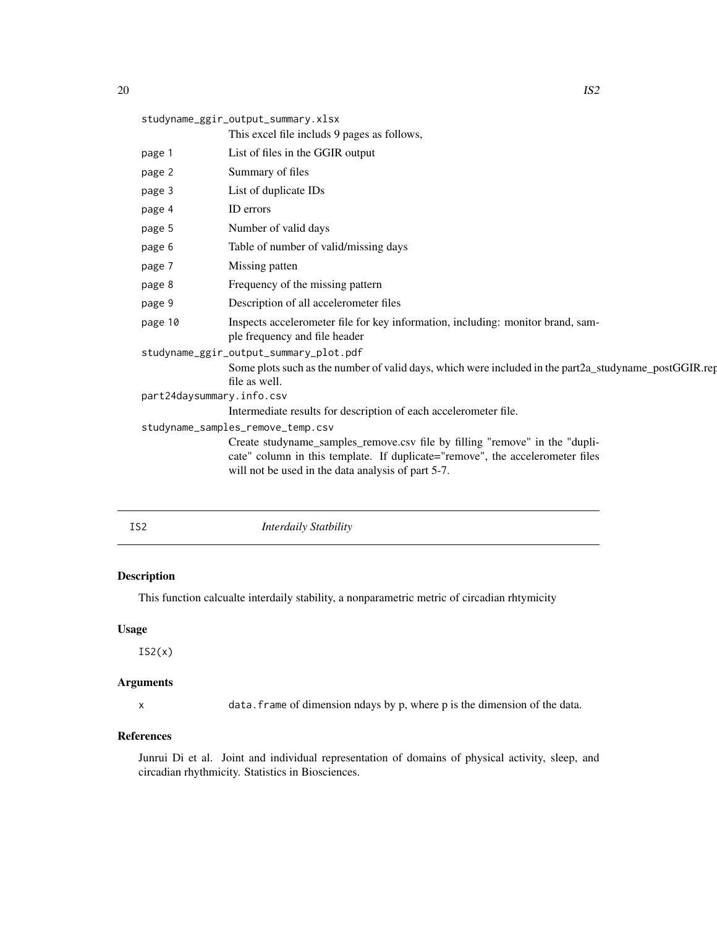<span id="page-19-0"></span>

| studyname_ggir_output_summary.xlsx |                           |                                                                                                                        |
|------------------------------------|---------------------------|------------------------------------------------------------------------------------------------------------------------|
|                                    |                           | This excel file includs 9 pages as follows,                                                                            |
|                                    | page 1                    | List of files in the GGIR output                                                                                       |
|                                    | page 2                    | Summary of files                                                                                                       |
|                                    | page 3                    | List of duplicate IDs                                                                                                  |
|                                    | page 4                    | ID errors                                                                                                              |
|                                    | page 5                    | Number of valid days                                                                                                   |
|                                    | page 6                    | Table of number of valid/missing days                                                                                  |
|                                    | page 7                    | Missing patten                                                                                                         |
|                                    | page 8                    | Frequency of the missing pattern                                                                                       |
|                                    | page 9                    | Description of all accelerometer files                                                                                 |
|                                    | page 10                   | Inspects accelerometer file for key information, including: monitor brand, sam-<br>ple frequency and file header       |
|                                    |                           | studyname_ggir_output_summary_plot.pdf                                                                                 |
|                                    |                           | Some plots such as the number of valid days, which were included in the part2a_studyname_postGGIR.rep<br>file as well. |
|                                    | part24daysummary.info.csv |                                                                                                                        |
|                                    |                           | Intermediate results for description of each accelerometer file.                                                       |
| studyname_samples_remove_temp.csv  |                           |                                                                                                                        |
|                                    |                           | Create studyname_samples_remove.csv file by filling "remove" in the "dupli-                                            |
|                                    |                           | cate" column in this template. If duplicate="remove", the accelerometer files                                          |
|                                    |                           | will not be used in the data analysis of part 5-7.                                                                     |
|                                    |                           |                                                                                                                        |
|                                    |                           |                                                                                                                        |

|  | ۱       |  |
|--|---------|--|
|  | ×<br>۰. |  |

**Interdaily Statbility** 

#### Description

This function calcualte interdaily stability, a nonparametric metric of circadian rhtymicity

#### Usage

 $IS2(x)$ 

#### Arguments

x data.frame of dimension ndays by p, where p is the dimension of the data.

#### References

Junrui Di et al. Joint and individual representation of domains of physical activity, sleep, and circadian rhythmicity. Statistics in Biosciences.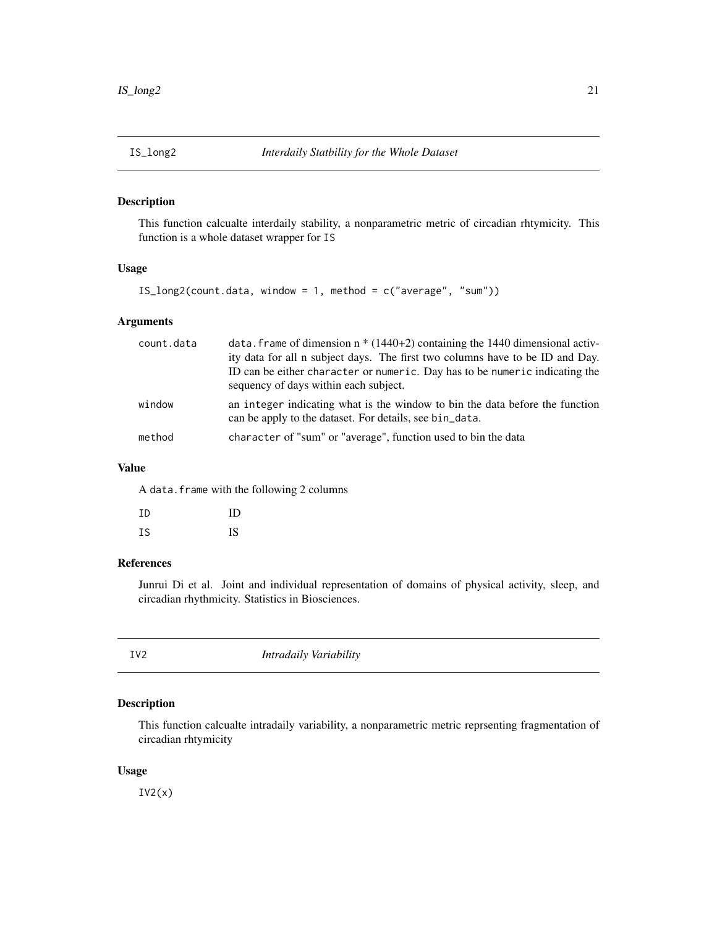<span id="page-20-0"></span>

This function calcualte interdaily stability, a nonparametric metric of circadian rhtymicity. This function is a whole dataset wrapper for IS

#### Usage

```
IS_long2(count.data, window = 1, method = c("average", "sum"))
```
#### Arguments

| count.data | data. Frame of dimension $n * (1440+2)$ containing the 1440 dimensional activ-<br>ity data for all n subject days. The first two columns have to be ID and Day.<br>ID can be either character or numeric. Day has to be numeric indicating the<br>sequency of days within each subject. |
|------------|-----------------------------------------------------------------------------------------------------------------------------------------------------------------------------------------------------------------------------------------------------------------------------------------|
| window     | an integer indicating what is the window to bin the data before the function<br>can be apply to the dataset. For details, see bin_data.                                                                                                                                                 |
| method     | character of "sum" or "average", function used to bin the data                                                                                                                                                                                                                          |

#### Value

A data.frame with the following 2 columns

| ΙD | ID |
|----|----|
| ΙS | IS |

#### References

Junrui Di et al. Joint and individual representation of domains of physical activity, sleep, and circadian rhythmicity. Statistics in Biosciences.

| IV2 | Intradaily Variability |  |
|-----|------------------------|--|
|     |                        |  |

#### Description

This function calcualte intradaily variability, a nonparametric metric reprsenting fragmentation of circadian rhtymicity

#### Usage

 $IV2(x)$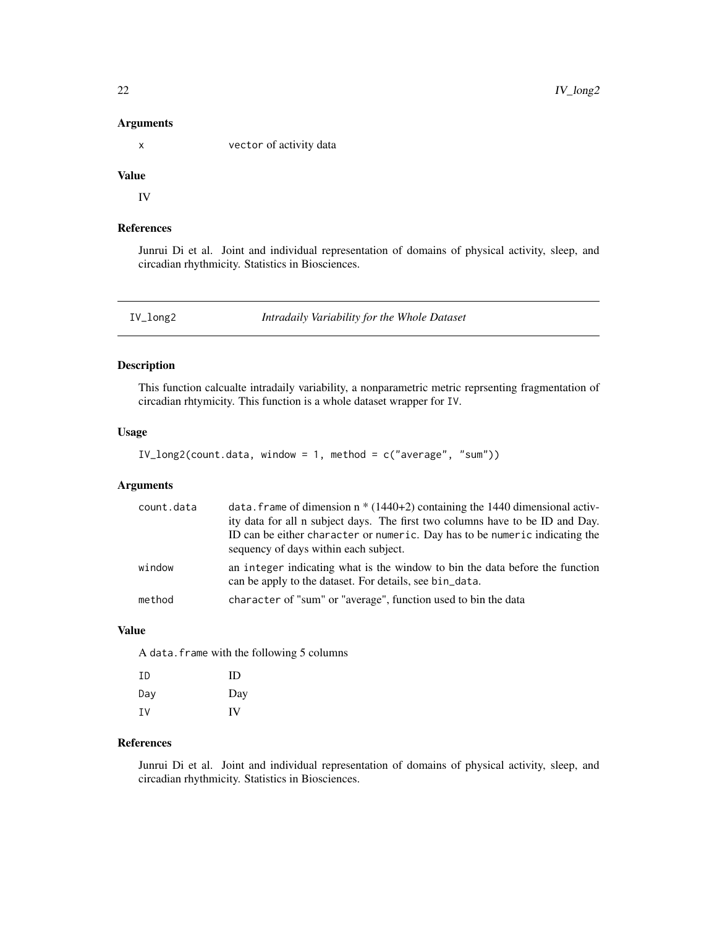<span id="page-21-0"></span>x vector of activity data

#### Value

IV

#### References

Junrui Di et al. Joint and individual representation of domains of physical activity, sleep, and circadian rhythmicity. Statistics in Biosciences.

IV\_long2 *Intradaily Variability for the Whole Dataset*

#### Description

This function calcualte intradaily variability, a nonparametric metric reprsenting fragmentation of circadian rhtymicity. This function is a whole dataset wrapper for IV.

#### Usage

```
IV\_long2(count.data, window = 1, method = c("average", "sum"))
```
#### Arguments

| count.data | data. Frame of dimension $n * (1440+2)$ containing the 1440 dimensional activ-<br>ity data for all n subject days. The first two columns have to be ID and Day.<br>ID can be either character or numeric. Day has to be numeric indicating the<br>sequency of days within each subject. |
|------------|-----------------------------------------------------------------------------------------------------------------------------------------------------------------------------------------------------------------------------------------------------------------------------------------|
| window     | an integer indicating what is the window to bin the data before the function<br>can be apply to the dataset. For details, see bin_data.                                                                                                                                                 |
| method     | character of "sum" or "average", function used to bin the data                                                                                                                                                                                                                          |

#### Value

A data.frame with the following 5 columns

| ΙD  | ID        |
|-----|-----------|
| Day | Day       |
| ΙV  | <b>IV</b> |

#### References

Junrui Di et al. Joint and individual representation of domains of physical activity, sleep, and circadian rhythmicity. Statistics in Biosciences.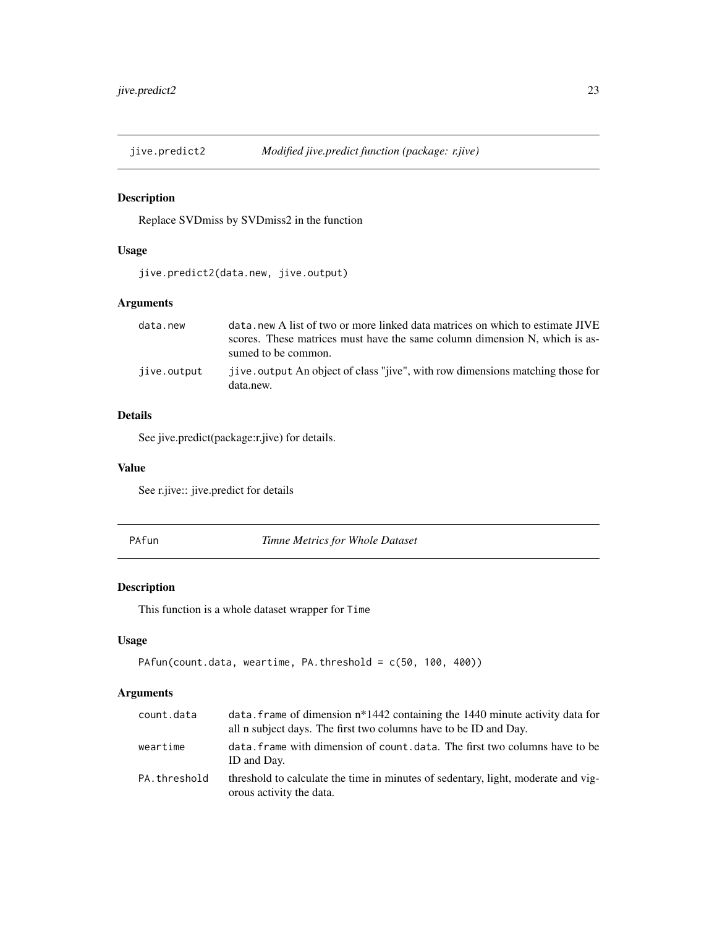<span id="page-22-0"></span>

Replace SVDmiss by SVDmiss2 in the function

#### Usage

jive.predict2(data.new, jive.output)

#### Arguments

| data.new    | data, new A list of two or more linked data matrices on which to estimate JIVE              |
|-------------|---------------------------------------------------------------------------------------------|
|             | scores. These matrices must have the same column dimension N, which is as-                  |
|             | sumed to be common.                                                                         |
| jive.output | jive. output An object of class "jive", with row dimensions matching those for<br>data.new. |

#### Details

See jive.predict(package:r.jive) for details.

#### Value

See r.jive:: jive.predict for details

PAfun *Timne Metrics for Whole Dataset*

#### Description

This function is a whole dataset wrapper for Time

#### Usage

```
PAfun(count.data, weartime, PA.threshold = c(50, 100, 400))
```

| count.data   | data. frame of dimension $n*1442$ containing the 1440 minute activity data for<br>all n subject days. The first two columns have to be ID and Day. |
|--------------|----------------------------------------------------------------------------------------------------------------------------------------------------|
| weartime     | data. frame with dimension of count. data. The first two columns have to be<br>ID and Day.                                                         |
| PA.threshold | threshold to calculate the time in minutes of sedentary, light, moderate and vig-<br>orous activity the data.                                      |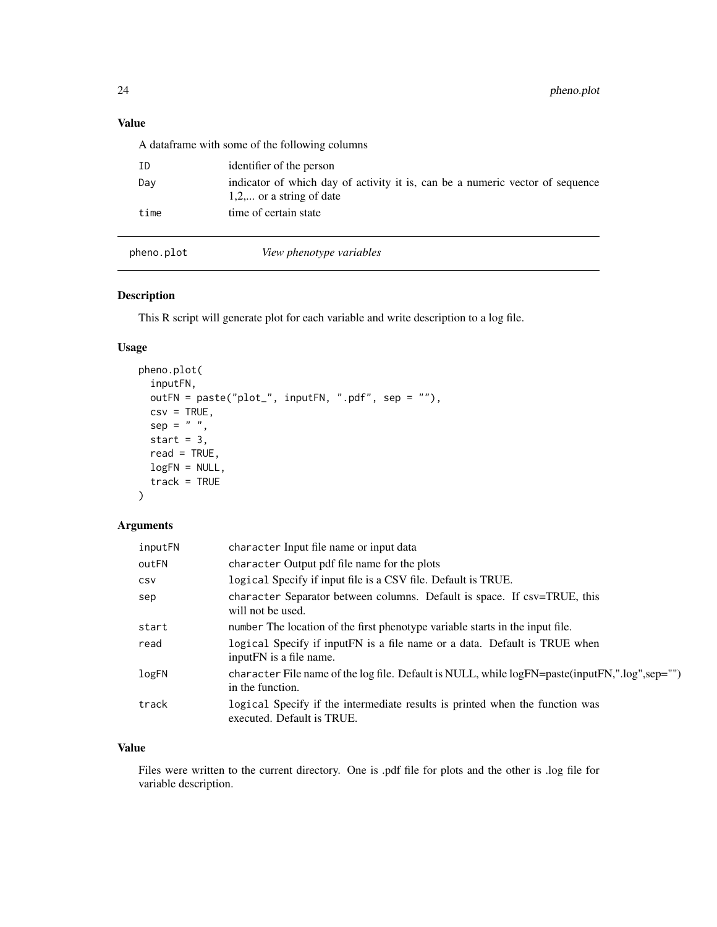#### <span id="page-23-0"></span>Value

A dataframe with some of the following columns

| - TD. | identifier of the person                                                                                    |
|-------|-------------------------------------------------------------------------------------------------------------|
| Day   | indicator of which day of activity it is, can be a numeric vector of sequence<br>$1,2,$ or a string of date |
| time  | time of certain state                                                                                       |

pheno.plot *View phenotype variables*

#### Description

This R script will generate plot for each variable and write description to a log file.

#### Usage

```
pheno.plot(
  inputFN,
  outFN = paste("plot_", inputFN, ".pdf", sep = ""),
 csv = TRUE,sep = " " ,start = 3,
  read = TRUE,
  logFN = NULL,
  track = TRUE
)
```
#### Arguments

| inputFN    | character Input file name or input data                                                                            |
|------------|--------------------------------------------------------------------------------------------------------------------|
| outFN      | character Output pdf file name for the plots                                                                       |
| <b>CSV</b> | logical Specify if input file is a CSV file. Default is TRUE.                                                      |
| sep        | character Separator between columns. Default is space. If csv=TRUE, this<br>will not be used.                      |
| start      | number The location of the first phenotype variable starts in the input file.                                      |
| read       | logical Specify if input FN is a file name or a data. Default is TRUE when<br>input FN is a file name.             |
| logFN      | character File name of the log file. Default is NULL, while logFN=paste(inputFN,".log",sep="")<br>in the function. |
| track      | logical Specify if the intermediate results is printed when the function was<br>executed. Default is TRUE.         |

#### Value

Files were written to the current directory. One is .pdf file for plots and the other is .log file for variable description.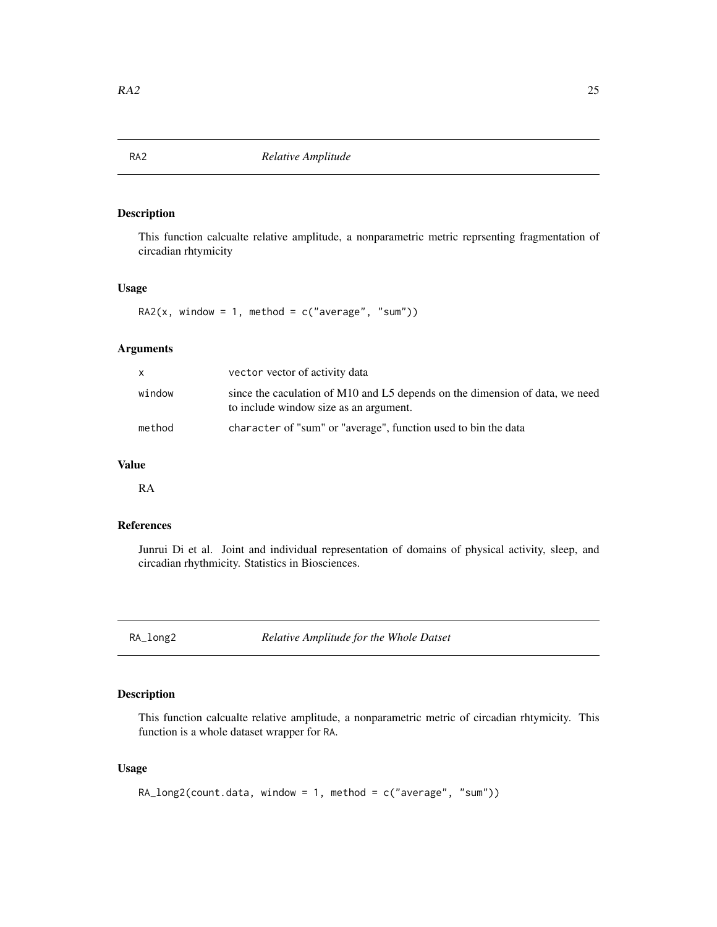<span id="page-24-0"></span>

This function calcualte relative amplitude, a nonparametric metric reprsenting fragmentation of circadian rhtymicity

#### Usage

RA2( $x$ , window = 1, method =  $c("average", "sum")$ )

#### Arguments

| X      | vector vector of activity data                                                                                         |
|--------|------------------------------------------------------------------------------------------------------------------------|
| window | since the caculation of M10 and L5 depends on the dimension of data, we need<br>to include window size as an argument. |
| method | character of "sum" or "average", function used to bin the data                                                         |

#### Value

RA

#### References

Junrui Di et al. Joint and individual representation of domains of physical activity, sleep, and circadian rhythmicity. Statistics in Biosciences.

RA\_long2 *Relative Amplitude for the Whole Datset*

#### Description

This function calcualte relative amplitude, a nonparametric metric of circadian rhtymicity. This function is a whole dataset wrapper for RA.

#### Usage

```
RA\_long2(count.data, window = 1, method = c("average", "sum"))
```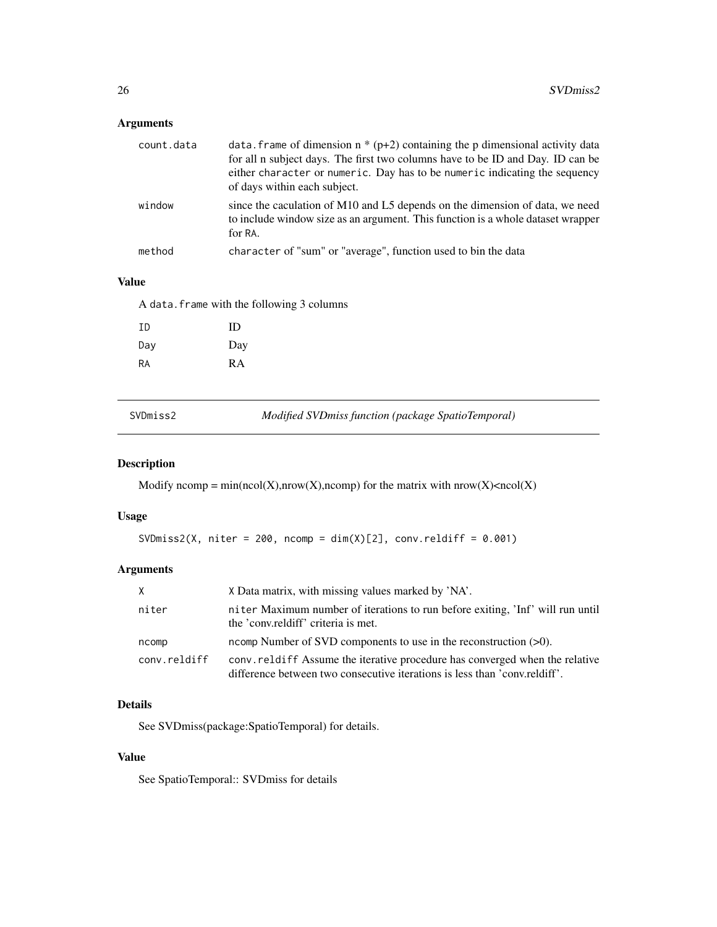<span id="page-25-0"></span>

| count.data | data. frame of dimension $n * (p+2)$ containing the p dimensional activity data<br>for all n subject days. The first two columns have to be ID and Day. ID can be<br>either character or numeric. Day has to be numeric indicating the sequency<br>of days within each subject. |
|------------|---------------------------------------------------------------------------------------------------------------------------------------------------------------------------------------------------------------------------------------------------------------------------------|
| window     | since the caculation of M10 and L5 depends on the dimension of data, we need<br>to include window size as an argument. This function is a whole dataset wrapper<br>for RA.                                                                                                      |
| method     | character of "sum" or "average", function used to bin the data                                                                                                                                                                                                                  |

#### Value

A data.frame with the following 3 columns

| TD. | ID        |
|-----|-----------|
| Day | Day       |
| RA  | <b>RA</b> |

SVDmiss2 *Modified SVDmiss function (package SpatioTemporal)*

#### Description

Modify ncomp = min(ncol(X),nrow(X),ncomp) for the matrix with nrow(X)<ncol(X)

#### Usage

SVDmiss2(X, niter = 200, ncomp =  $dim(X)[2]$ , conv.reldiff = 0.001)

#### Arguments

| X            | X Data matrix, with missing values marked by 'NA'.                                                                                                         |
|--------------|------------------------------------------------------------------------------------------------------------------------------------------------------------|
| niter        | niter Maximum number of iterations to run before exiting, 'Inf' will run until<br>the 'conv.reldiff' criteria is met.                                      |
| ncomp        | ncomp Number of SVD components to use in the reconstruction $(>0)$ .                                                                                       |
| conv.reldiff | conv. relatif Assume the iterative procedure has converged when the relative<br>difference between two consecutive iterations is less than 'conv.reldiff'. |

#### Details

See SVDmiss(package:SpatioTemporal) for details.

#### Value

See SpatioTemporal:: SVDmiss for details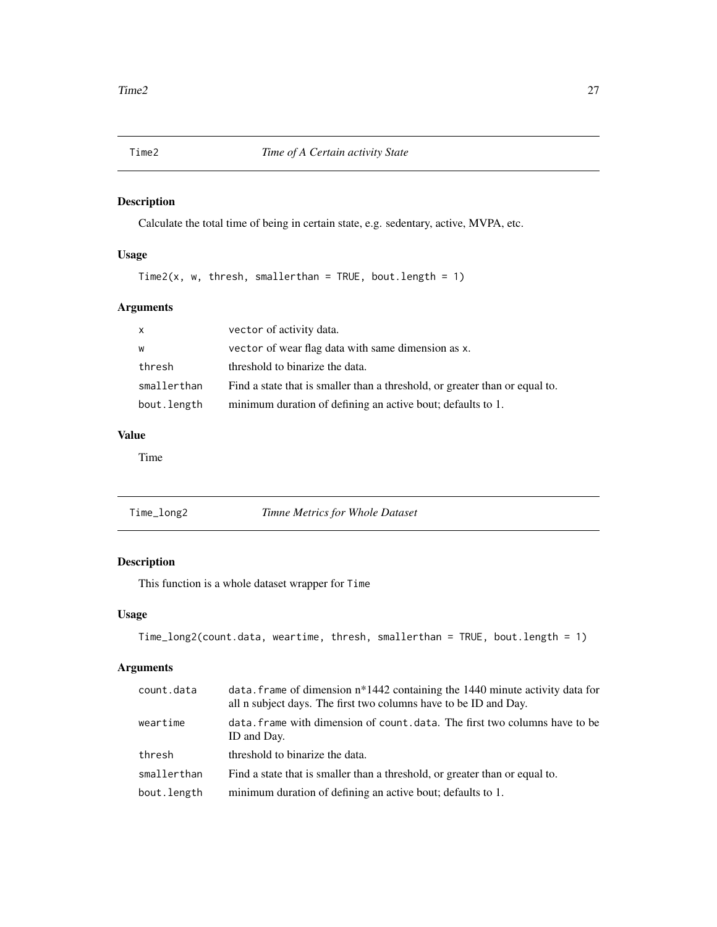<span id="page-26-0"></span>Calculate the total time of being in certain state, e.g. sedentary, active, MVPA, etc.

#### Usage

Time2(x, w, thresh, smallerthan = TRUE, bout.length = 1)

#### Arguments

| $\mathsf{x}$ | vector of activity data.                                                    |
|--------------|-----------------------------------------------------------------------------|
| w            | vector of wear flag data with same dimension as x.                          |
| thresh       | threshold to binarize the data.                                             |
| smallerthan  | Find a state that is smaller than a threshold, or greater than or equal to. |
| bout.length  | minimum duration of defining an active bout; defaults to 1.                 |

#### Value

Time

| Time_long2 | Timne Metrics for Whole Dataset |
|------------|---------------------------------|
|------------|---------------------------------|

#### Description

This function is a whole dataset wrapper for Time

#### Usage

```
Time_long2(count.data, weartime, thresh, smallerthan = TRUE, bout.length = 1)
```

| count.data  | data. frame of dimension $n*1442$ containing the 1440 minute activity data for<br>all n subject days. The first two columns have to be ID and Day. |
|-------------|----------------------------------------------------------------------------------------------------------------------------------------------------|
| weartime    | data. frame with dimension of count. data. The first two columns have to be<br>ID and Day.                                                         |
| thresh      | threshold to binarize the data.                                                                                                                    |
| smallerthan | Find a state that is smaller than a threshold, or greater than or equal to.                                                                        |
| bout.length | minimum duration of defining an active bout; defaults to 1.                                                                                        |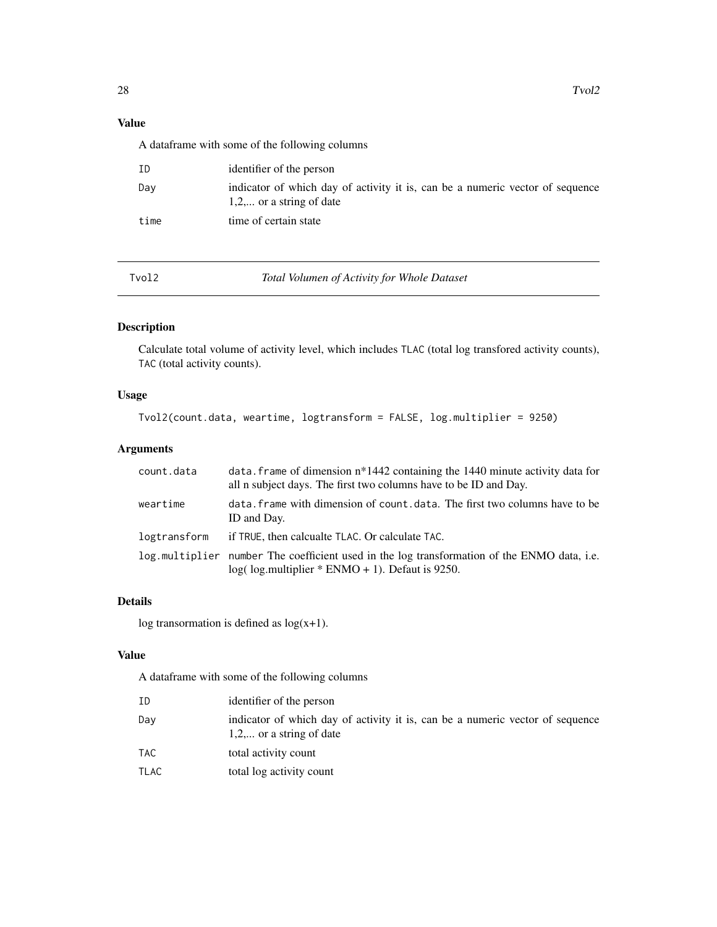#### <span id="page-27-0"></span>Value

A dataframe with some of the following columns

| ID   | identifier of the person                                                                                    |
|------|-------------------------------------------------------------------------------------------------------------|
| Day  | indicator of which day of activity it is, can be a numeric vector of sequence<br>$1,2,$ or a string of date |
| time | time of certain state                                                                                       |

Tvol2 *Total Volumen of Activity for Whole Dataset*

#### Description

Calculate total volume of activity level, which includes TLAC (total log transfored activity counts), TAC (total activity counts).

#### Usage

```
Tvol2(count.data, weartime, logtransform = FALSE, log.multiplier = 9250)
```
#### Arguments

| count.data   | data. frame of dimension $n*1442$ containing the 1440 minute activity data for<br>all n subject days. The first two columns have to be ID and Day.  |
|--------------|-----------------------------------------------------------------------------------------------------------------------------------------------------|
| weartime     | data. frame with dimension of count. data. The first two columns have to be<br>ID and Day.                                                          |
| logtransform | if TRUE, then calcualte TLAC. Or calculate TAC.                                                                                                     |
|              | log.multiplier number The coefficient used in the log transformation of the ENMO data, i.e.<br>$log($ log(multiplier $*$ ENMO + 1). Defaut is 9250. |

#### Details

log transormation is defined as  $log(x+1)$ .

#### Value

A dataframe with some of the following columns

| ΙD   | identifier of the person                                                                                    |
|------|-------------------------------------------------------------------------------------------------------------|
| Dav  | indicator of which day of activity it is, can be a numeric vector of sequence<br>$1,2,$ or a string of date |
| TAC  | total activity count                                                                                        |
| TLAC | total log activity count                                                                                    |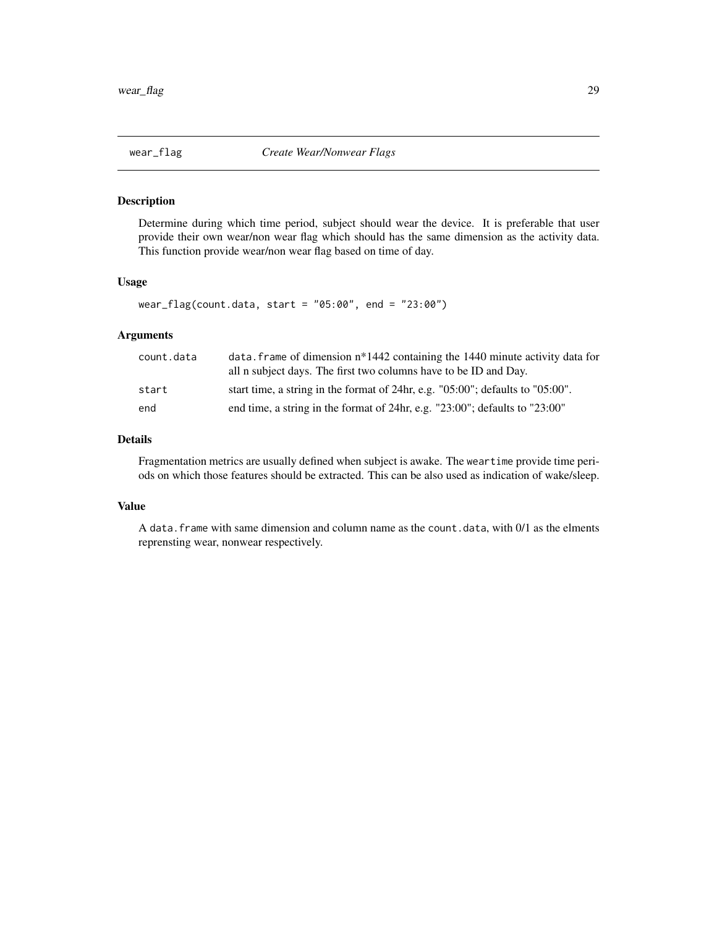<span id="page-28-0"></span>

Determine during which time period, subject should wear the device. It is preferable that user provide their own wear/non wear flag which should has the same dimension as the activity data. This function provide wear/non wear flag based on time of day.

#### Usage

```
wear_flag(count.data, start = "05:00", end = "23:00")
```
#### Arguments

| count.data | data. frame of dimension $n*1442$ containing the 1440 minute activity data for<br>all n subject days. The first two columns have to be ID and Day. |
|------------|----------------------------------------------------------------------------------------------------------------------------------------------------|
| start      | start time, a string in the format of 24hr, e.g. $"05:00"$ ; defaults to $"05:00"$ .                                                               |
| end        | end time, a string in the format of 24hr, e.g. " $23:00$ "; defaults to " $23:00$ "                                                                |

#### Details

Fragmentation metrics are usually defined when subject is awake. The weartime provide time periods on which those features should be extracted. This can be also used as indication of wake/sleep.

#### Value

A data.frame with same dimension and column name as the count.data, with 0/1 as the elments reprensting wear, nonwear respectively.